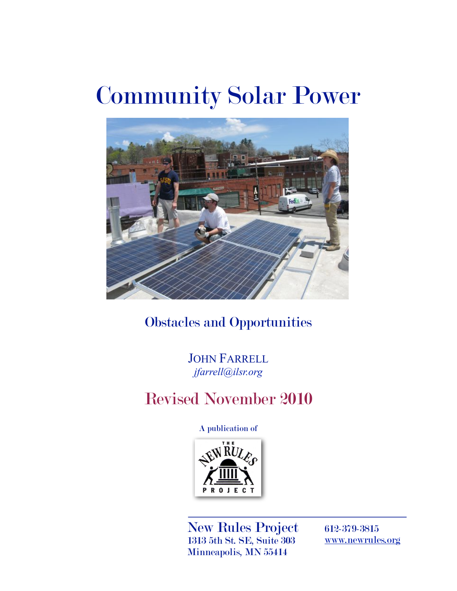# Community Solar Power



Obstacles and Opportunities

JOHN FARRELL *[jfarrell@ilsr.org](mailto:jfarrell@ilsr.org)*

# Revised November 2010

A publication of



New Rules Project 1313 5th St. SE, Suite 303 Minneapolis, MN 55414

612-379-3815 [www.newrules.org](http://www.newrules.org)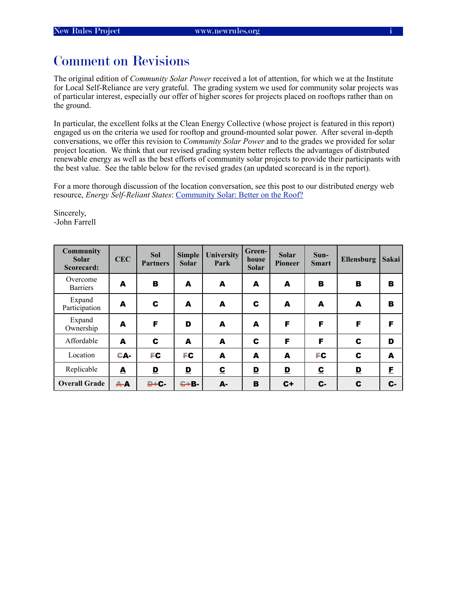# Comment on Revisions

The original edition of *Community Solar Power* received a lot of attention, for which we at the Institute for Local Self-Reliance are very grateful. The grading system we used for community solar projects was of particular interest, especially our offer of higher scores for projects placed on rooftops rather than on the ground.

In particular, the excellent folks at the Clean Energy Collective (whose project is featured in this report) engaged us on the criteria we used for rooftop and ground-mounted solar power. After several in-depth conversations, we offer this revision to *Community Solar Power* and to the grades we provided for solar project location. We think that our revised grading system better reflects the advantages of distributed renewable energy as well as the best efforts of community solar projects to provide their participants with the best value. See the table below for the revised grades (an updated scorecard is in the report).

For a more thorough discussion of the location conversation, see this post to our distributed energy web resource, *Energy Self-Reliant States*: [Community Solar: Better on the Roof?](http://energyselfreliantstates.org/content/community-solar-better-roof)

Sincerely, -John Farrell

| <b>Community</b><br><b>Solar</b><br>Scorecard: | <b>CEC</b>       | <b>Sol</b><br><b>Partners</b> | <b>Simple</b><br><b>Solar</b> | University<br>Park      | Green-<br>house<br><b>Solar</b> | Solar<br><b>Pioneer</b> | $Sun-$<br><b>Smart</b>  | Ellensburg              | Sakai |
|------------------------------------------------|------------------|-------------------------------|-------------------------------|-------------------------|---------------------------------|-------------------------|-------------------------|-------------------------|-------|
| Overcome<br><b>Barriers</b>                    | A                | B                             | A                             | A                       | A                               | A                       | в                       | в                       | в     |
| Expand<br>Participation                        | A                | C                             | A                             | A                       | C                               | A                       | A                       | A                       | в     |
| Expand<br>Ownership                            | A                | F                             | D                             | A                       | A                               | F                       | F                       | F                       | F     |
| Affordable                                     | A                | C                             | A                             | A                       | C                               | F                       | F                       | C                       | D     |
| Location                                       | CA-              | FC                            | FC                            | A                       | A                               | A                       | FC                      | C                       | A     |
| Replicable                                     | $\blacktriangle$ | $\mathbf{D}$                  | $\mathbf{D}$                  | $\overline{\mathbf{c}}$ | $\mathbf{D}$                    | $\mathbf{D}$            | $\overline{\mathbf{c}}$ | $\overline{\mathbf{D}}$ | E     |
| <b>Overall Grade</b>                           | $A - A$          | $D + C -$                     | $C + B -$                     | А-                      | B                               | $C+$                    | $c-$                    | C                       | C-    |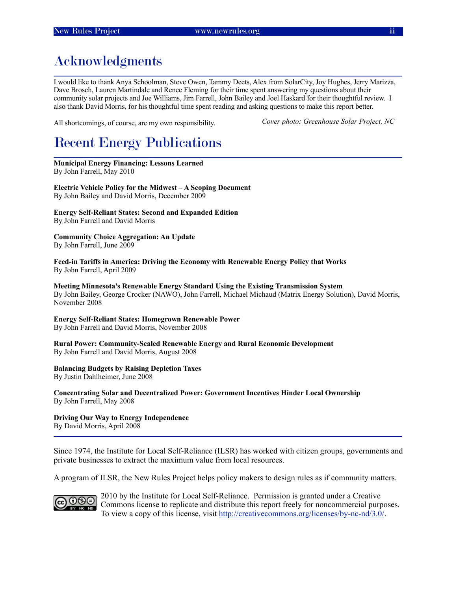# Acknowledgments

I would like to thank Anya Schoolman, Steve Owen, Tammy Deets, Alex from SolarCity, Joy Hughes, Jerry Marizza, Dave Brosch, Lauren Martindale and Renee Fleming for their time spent answering my questions about their community solar projects and Joe Williams, Jim Farrell, John Bailey and Joel Haskard for their thoughtful review. I also thank David Morris, for his thoughtful time spent reading and asking questions to make this report better.

All shortcomings, of course, are my own responsibility.

*Cover photo: Greenhouse Solar Project, NC*

# Recent Energy Publications

**Municipal Energy Financing: Lessons Learned** By John Farrell, May 2010

**Electric Vehicle Policy for the Midwest – A Scoping Document** By John Bailey and David Morris, December 2009

**Energy Self-Reliant States: Second and Expanded Edition** By John Farrell and David Morris

**Community Choice Aggregation: An Update** By John Farrell, June 2009

**Feed-in Tariffs in America: Driving the Economy with Renewable Energy Policy that Works** By John Farrell, April 2009

**Meeting Minnesota's Renewable Energy Standard Using the Existing Transmission System** By John Bailey, George Crocker (NAWO), John Farrell, Michael Michaud (Matrix Energy Solution), David Morris, November 2008

**Energy Self-Reliant States: Homegrown Renewable Power** By John Farrell and David Morris, November 2008

**Rural Power: Community-Scaled Renewable Energy and Rural Economic Development** By John Farrell and David Morris, August 2008

#### **Balancing Budgets by Raising Depletion Taxes**

By Justin Dahlheimer, June 2008

**Concentrating Solar and Decentralized Power: Government Incentives Hinder Local Ownership** By John Farrell, May 2008

**Driving Our Way to Energy Independence** By David Morris, April 2008

Since 1974, the Institute for Local Self-Reliance (ILSR) has worked with citizen groups, governments and private businesses to extract the maximum value from local resources.

A program of ILSR, the New Rules Project helps policy makers to design rules as if community matters.



2010 by the Institute for Local Self-Reliance. Permission is granted under a Creative Commons license to replicate and distribute this report freely for noncommercial purposes. To view a copy of this license, visit [http://creativecommons.org/licenses/by-nc-nd/3.0/.](http://creativecommons.org/licenses/by-nc-nd/3.0/)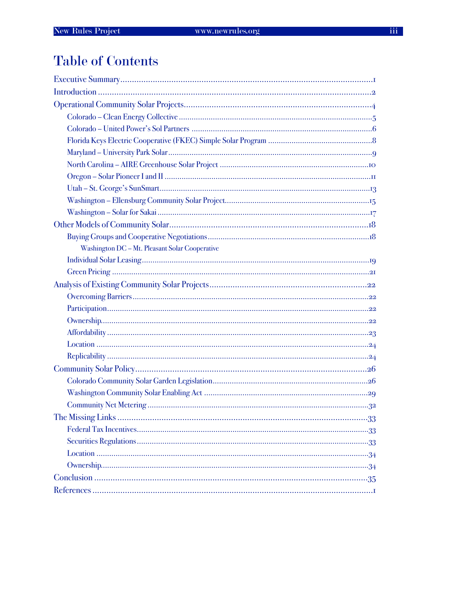# **Table of Contents**

| Washington DC - Mt. Pleasant Solar Cooperative |
|------------------------------------------------|
|                                                |
|                                                |
|                                                |
|                                                |
|                                                |
|                                                |
|                                                |
|                                                |
|                                                |
|                                                |
|                                                |
|                                                |
|                                                |
|                                                |
|                                                |
|                                                |
|                                                |
|                                                |
|                                                |
|                                                |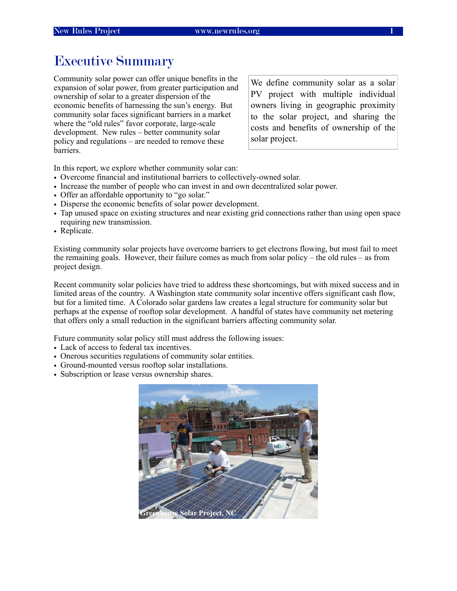## <span id="page-4-0"></span>Executive Summary

Community solar power can offer unique benefits in the expansion of solar power, from greater participation and ownership of solar to a greater dispersion of the economic benefits of harnessing the sun's energy. But community solar faces significant barriers in a market where the "old rules" favor corporate, large-scale development. New rules – better community solar policy and regulations – are needed to remove these barriers.

We define community solar as a solar PV project with multiple individual owners living in geographic proximity to the solar project, and sharing the costs and benefits of ownership of the solar project.

In this report, we explore whether community solar can:

- Overcome financial and institutional barriers to collectively-owned solar.
- Increase the number of people who can invest in and own decentralized solar power.
- Offer an affordable opportunity to "go solar."
- Disperse the economic benefits of solar power development.
- Tap unused space on existing structures and near existing grid connections rather than using open space requiring new transmission.
- Replicate.

Existing community solar projects have overcome barriers to get electrons flowing, but most fail to meet the remaining goals. However, their failure comes as much from solar policy – the old rules – as from project design.

Recent community solar policies have tried to address these shortcomings, but with mixed success and in limited areas of the country. A Washington state community solar incentive offers significant cash flow, but for a limited time. A Colorado solar gardens law creates a legal structure for community solar but perhaps at the expense of rooftop solar development. A handful of states have community net metering that offers only a small reduction in the significant barriers affecting community solar.

Future community solar policy still must address the following issues:

- Lack of access to federal tax incentives.
- Onerous securities regulations of community solar entities.
- Ground-mounted versus rooftop solar installations.
- Subscription or lease versus ownership shares.

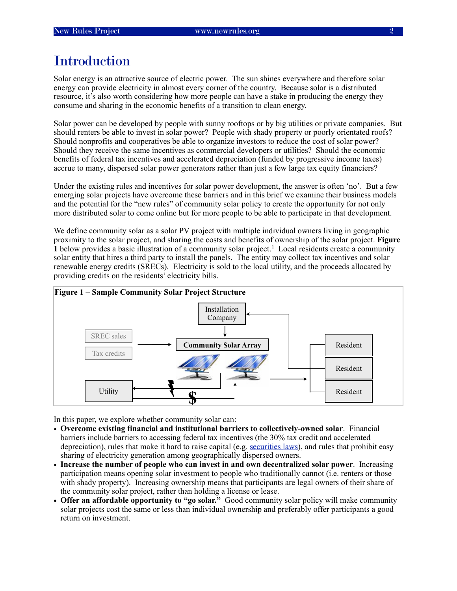# <span id="page-5-0"></span>**Introduction**

Solar energy is an attractive source of electric power. The sun shines everywhere and therefore solar energy can provide electricity in almost every corner of the country. Because solar is a distributed resource, it's also worth considering how more people can have a stake in producing the energy they consume and sharing in the economic benefits of a transition to clean energy.

Solar power can be developed by people with sunny rooftops or by big utilities or private companies. But should renters be able to invest in solar power? People with shady property or poorly orientated roofs? Should nonprofits and cooperatives be able to organize investors to reduce the cost of solar power? Should they receive the same incentives as commercial developers or utilities? Should the economic benefits of federal tax incentives and accelerated depreciation (funded by progressive income taxes) accrue to many, dispersed solar power generators rather than just a few large tax equity financiers?

Under the existing rules and incentives for solar power development, the answer is often 'no'. But a few emerging solar projects have overcome these barriers and in this brief we examine their business models and the potential for the "new rules" of community solar policy to create the opportunity for not only more distributed solar to come online but for more people to be able to participate in that development.

We define community solar as a solar PV project with multiple individual owners living in geographic proximity to the solar project, and sharing the costs and benefits of ownership of the solar project. **Figure [1](#page-40-1)** below provides a basic illustration of a community solar project.<sup>1</sup> Local residents create a community solar entity that hires a third party to install the panels. The entity may collect tax incentives and solar renewable energy credits (SRECs). Electricity is sold to the local utility, and the proceeds allocated by providing credits on the residents' electricity bills.



In this paper, we explore whether community solar can:

- **Overcome existing financial and institutional barriers to collectively-owned solar**. Financial barriers include barriers to accessing federal tax incentives (the 30% tax credit and accelerated depreciation), rules that make it hard to raise capital (e.g. [securities laws](#page-36-2)), and rules that prohibit easy sharing of electricity generation among geographically dispersed owners.
- **Increase the number of people who can invest in and own decentralized solar power**. Increasing participation means opening solar investment to people who traditionally cannot (i.e. renters or those with shady property). Increasing ownership means that participants are legal owners of their share of the community solar project, rather than holding a license or lease.
- **• Offer an affordable opportunity to "go solar."** Good community solar policy will make community solar projects cost the same or less than individual ownership and preferably offer participants a good return on investment.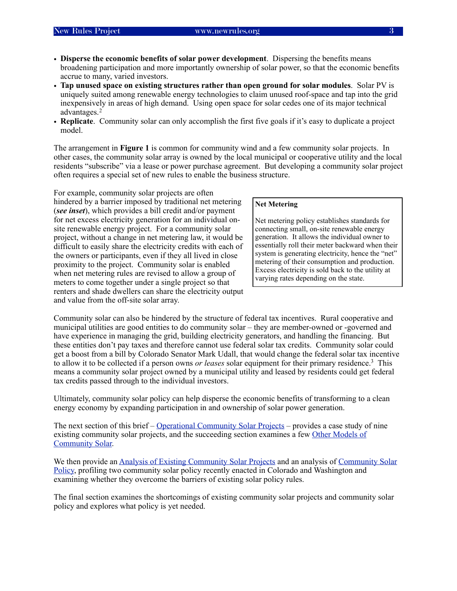- **Disperse the economic benefits of solar power development**. Dispersing the benefits means broadening participation and more importantly ownership of solar power, so that the economic benefits accrue to many, varied investors.
- **Tap unused space on existing structures rather than open ground for solar modules**. Solar PV is uniquely suited among renewable energy technologies to claim unused roof-space and tap into the grid inexpensively in areas of high demand. Using open space for solar cedes one of its major technical advantages.[2](#page-40-2)
- **Replicate**. Community solar can only accomplish the first five goals if it's easy to duplicate a project model.

The arrangement in **Figure 1** is common for community wind and a few community solar projects. In other cases, the community solar array is owned by the local municipal or cooperative utility and the local residents "subscribe" via a lease or power purchase agreement. But developing a community solar project often requires a special set of new rules to enable the business structure.

For example, community solar projects are often hindered by a barrier imposed by traditional net metering (*see inset*), which provides a bill credit and/or payment for net excess electricity generation for an individual onsite renewable energy project. For a community solar project, without a change in net metering law, it would be difficult to easily share the electricity credits with each of the owners or participants, even if they all lived in close proximity to the project. Community solar is enabled when net metering rules are revised to allow a group of meters to come together under a single project so that renters and shade dwellers can share the electricity output and value from the off-site solar array.

#### **Net Metering**

Net metering policy establishes standards for connecting small, on-site renewable energy generation. It allows the individual owner to essentially roll their meter backward when their system is generating electricity, hence the "net" metering of their consumption and production. Excess electricity is sold back to the utility at varying rates depending on the state.

Community solar can also be hindered by the structure of federal tax incentives. Rural cooperative and municipal utilities are good entities to do community solar – they are member-owned or -governed and have experience in managing the grid, building electricity generators, and handling the financing. But these entities don't pay taxes and therefore cannot use federal solar tax credits. Community solar could get a boost from a bill by Colorado Senator Mark Udall, that would change the federal solar tax incentive to allow it to be collected if a person owns *or leases* solar equipment for their primary residence[.3](#page-40-3) This means a community solar project owned by a municipal utility and leased by residents could get federal tax credits passed through to the individual investors.

Ultimately, community solar policy can help disperse the economic benefits of transforming to a clean energy economy by expanding participation in and ownership of solar power generation.

The next section of this brief – [Operational Community Solar Projects](#page-7-0) – provides a case study of nine existing community solar projects, and the succeeding section examines a few [Other Models of](#page-21-0)  [Community Solar.](#page-21-0)

We then provide an [Analysis of Existing Community Solar Projects](#page-25-0) and an analysis of [Community Solar](#page-29-0)  [Policy](#page-29-0), profiling two community solar policy recently enacted in Colorado and Washington and examining whether they overcome the barriers of existing solar policy rules.

The final section examines the shortcomings of existing community solar projects and community solar policy and explores what policy is yet needed.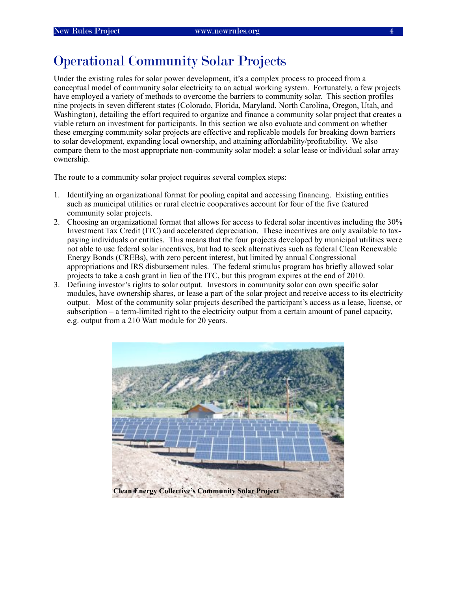# <span id="page-7-0"></span>Operational Community Solar Projects

Under the existing rules for solar power development, it's a complex process to proceed from a conceptual model of community solar electricity to an actual working system. Fortunately, a few projects have employed a variety of methods to overcome the barriers to community solar. This section profiles nine projects in seven different states (Colorado, Florida, Maryland, North Carolina, Oregon, Utah, and Washington), detailing the effort required to organize and finance a community solar project that creates a viable return on investment for participants. In this section we also evaluate and comment on whether these emerging community solar projects are effective and replicable models for breaking down barriers to solar development, expanding local ownership, and attaining affordability/profitability. We also compare them to the most appropriate non-community solar model: a solar lease or individual solar array ownership.

The route to a community solar project requires several complex steps:

- 1. Identifying an organizational format for pooling capital and accessing financing. Existing entities such as municipal utilities or rural electric cooperatives account for four of the five featured community solar projects.
- 2. Choosing an organizational format that allows for access to federal solar incentives including the 30% Investment Tax Credit (ITC) and accelerated depreciation. These incentives are only available to taxpaying individuals or entities. This means that the four projects developed by municipal utilities were not able to use federal solar incentives, but had to seek alternatives such as federal Clean Renewable Energy Bonds (CREBs), with zero percent interest, but limited by annual Congressional appropriations and IRS disbursement rules. The federal stimulus program has briefly allowed solar projects to take a cash grant in lieu of the ITC, but this program expires at the end of 2010.
- 3. Defining investor's rights to solar output. Investors in community solar can own specific solar modules, have ownership shares, or lease a part of the solar project and receive access to its electricity output. Most of the community solar projects described the participant's access as a lease, license, or subscription – a term-limited right to the electricity output from a certain amount of panel capacity, e.g. output from a 210 Watt module for 20 years.

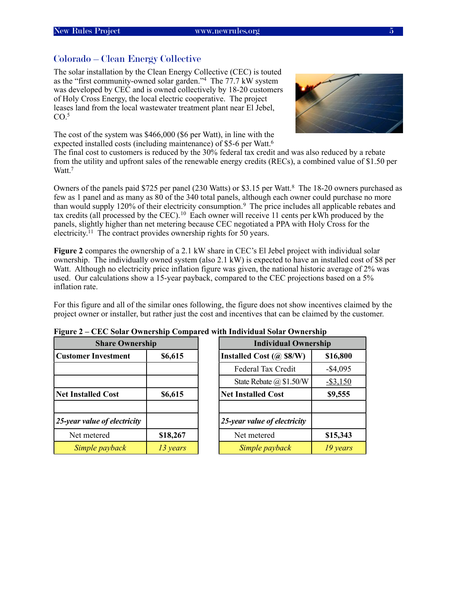#### <span id="page-8-0"></span>Colorado – Clean Energy Collective



The solar installation by the Clean Energy Collective (CEC) is touted as the "first community-owned solar garden."[4](#page-40-4) The 77.7 kW system was developed by CEC and is owned collectively by 18-20 customers of Holy Cross Energy, the local electric cooperative. The project leases land from the local wastewater treatment plant near El Jebel,  $CO<sup>5</sup>$ 

The cost of the system was \$466,000 (\$6 per Watt), in line with the expected installed costs (including maintenance) of \$5-6 per Watt.<sup>6</sup>

The final cost to customers is reduced by the 30% federal tax credit and was also reduced by a rebate from the utility and upfront sales of the renewable energy credits (RECs), a combined value of \$1.50 per Watt.<sup>7</sup>

Owners of the panels paid \$725 per panel (230 Watts) or \$3.15 per Watt.<sup>8</sup> The 18-20 owners purchased as few as 1 panel and as many as 80 of the 340 total panels, although each owner could purchase no more than would supply 120% of their electricity consumption.<sup>[9](#page-40-9)</sup> The price includes all applicable rebates and tax credits (all processed by the CEC).[10](#page-40-10) Each owner will receive 11 cents per kWh produced by the panels, slightly higher than net metering because CEC negotiated a PPA with Holy Cross for the electricity[.11](#page-40-11) The contract provides ownership rights for 50 years.

**Figure 2** compares the ownership of a 2.1 kW share in CEC's El Jebel project with individual solar ownership. The individually owned system (also 2.1 kW) is expected to have an installed cost of \$8 per Watt. Although no electricity price inflation figure was given, the national historic average of 2% was used. Our calculations show a 15-year payback, compared to the CEC projections based on a 5% inflation rate.

For this figure and all of the similar ones following, the figure does not show incentives claimed by the project owner or installer, but rather just the cost and incentives that can be claimed by the customer.

| <b>Share Ownership</b>       |          | <b>Individual Ownership</b>  |             |  |
|------------------------------|----------|------------------------------|-------------|--|
| <b>Customer Investment</b>   | \$6,615  | Installed Cost $(a)$ \$8/W)  | \$16,800    |  |
|                              |          | Federal Tax Credit           | $-$4,095$   |  |
|                              |          | State Rebate $(a)$ \$1.50/W  | $-$ \$3,150 |  |
| <b>Net Installed Cost</b>    | \$6,615  | <b>Net Installed Cost</b>    | \$9,555     |  |
| 25-year value of electricity |          | 25-year value of electricity |             |  |
| Net metered                  | \$18,267 | Net metered                  | \$15,343    |  |
| Simple payback               | 13 years | Simple payback               | 19 years    |  |

|                          |          |  | CHC Some Ownership Compared with marriagan Some Ownership |             |  |
|--------------------------|----------|--|-----------------------------------------------------------|-------------|--|
| <b>Share Ownership</b>   |          |  | <b>Individual Ownership</b>                               |             |  |
| tomer Investment         | \$6,615  |  | \$16,800<br>Installed Cost $(a)$ \$8/W)                   |             |  |
|                          |          |  | Federal Tax Credit                                        | $-$ \$4,095 |  |
|                          |          |  | State Rebate @ \$1.50/W                                   | $-$ \$3,150 |  |
| <b>Installed Cost</b>    | \$6,615  |  | <b>Net Installed Cost</b>                                 | \$9,555     |  |
|                          |          |  |                                                           |             |  |
| ear value of electricity |          |  | 25-year value of electricity                              |             |  |
| Net metered              | \$18,267 |  | Net metered                                               | \$15,343    |  |
| Simple payback           | 13 years |  | Simple payback                                            | 19 years    |  |

#### **Figure 2 – CEC Solar Ownership Compared with Individual Solar Ownership**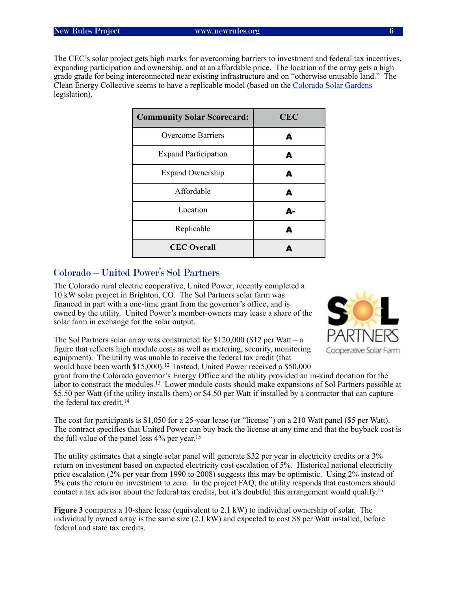The CEC's solar project gets high marks for overcoming barriers to investment and federal tax incentives, expanding participation and ownership, and at an affordable price. The location of the array gets a high grade grade for being interconnected near existing infrastructure and on "otherwise unusable land." The Clean Energy Collective seems to have a replicable model (based on the [Colorado Solar Gardens](#page-29-1) legislation).

| <b>Community Solar Scorecard:</b> | <b>CEC</b> |
|-----------------------------------|------------|
| Overcome Barriers                 | А          |
| <b>Expand Participation</b>       | А          |
| <b>Expand Ownership</b>           | A          |
| Affordable                        | A          |
| Location                          | Δ.         |
| Replicable                        | А          |
| <b>CEC</b> Overall                |            |

#### <span id="page-9-0"></span>Colorado – United Power's Sol Partners

The Colorado rural electric cooperative, United Power, recently completed a 10 kW solar project in Brighton, CO. The Sol Partners solar farm was financed in part with a one-time grant from the governor's office, and is owned by the utility. United Power's member-owners may lease a share of the solar farm in exchange for the solar output.



The Sol Partners solar array was constructed for  $$120,000$  ( $$12$  per Watt – a figure that reflects high module costs as well as metering, security, monitoring equipment). The utility was unable to receive the federal tax credit (that would have been worth \$15,000).<sup>[12](#page-40-12)</sup> Instead, United Power received a \$50,000

grant from the Colorado governor's Energy Office and the utility provided an in-kind donation for the labor to construct the modules.[13](#page-40-13) Lower module costs should make expansions of Sol Partners possible at \$5.50 per Watt (if the utility installs them) or \$4.50 per Watt if installed by a contractor that can capture the federal tax credit.<sup>[14](#page-40-14)</sup>

The cost for participants is \$1,050 for a 25-year lease (or "license") on a 210 Watt panel (\$5 per Watt). The contract specifies that United Power can buy back the license at any time and that the buyback cost is the full value of the panel less 4% per year.[15](#page-40-15)

The utility estimates that a single solar panel will generate \$32 per year in electricity credits or a 3% return on investment based on expected electricity cost escalation of 5%. Historical national electricity price escalation (2% per year from 1990 to 2008) suggests this may be optimistic. Using 2% instead of 5% cuts the return on investment to zero. In the project FAQ, the utility responds that customers should contact a tax advisor about the federal tax credits, but it's doubtful this arrangement would qualify.[16](#page-40-16)

**Figure 3** compares a 10-share lease (equivalent to 2.1 kW) to individual ownership of solar. The individually owned array is the same size (2.1 kW) and expected to cost \$8 per Watt installed, before federal and state tax credits.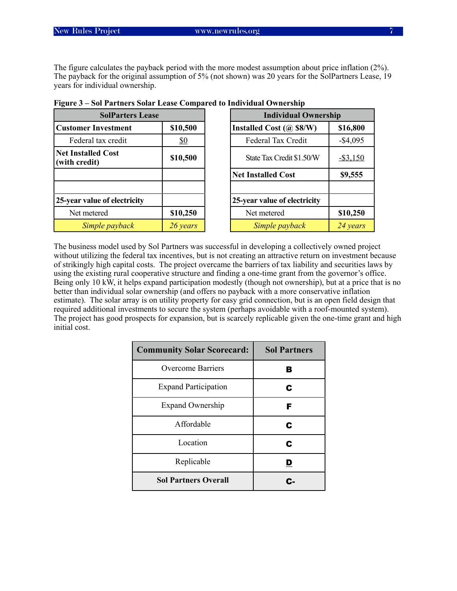The figure calculates the payback period with the more modest assumption about price inflation (2%). The payback for the original assumption of 5% (not shown) was 20 years for the SolPartners Lease, 19 years for individual ownership.

| <b>SolParters Lease</b>                    |            |                                          | <b>Individual Ownership</b> |  |  |
|--------------------------------------------|------------|------------------------------------------|-----------------------------|--|--|
| \$10,500<br><b>Customer Investment</b>     |            | Installed Cost $(a)$ \$8/W)              | \$16,800                    |  |  |
| Federal tax credit                         | <u>\$0</u> | Federal Tax Credit                       | $-$ \$4,095                 |  |  |
| <b>Net Installed Cost</b><br>(with credit) | \$10,500   | State Tax Credit \$1.50/W<br>$-$ \$3,150 |                             |  |  |
|                                            |            | <b>Net Installed Cost</b>                | \$9,555                     |  |  |
| 25-year value of electricity               |            | 25-year value of electricity             |                             |  |  |
| Net metered                                | \$10,250   | Net metered                              | \$10,250                    |  |  |
| Simple payback                             | 26 years   | Simple payback                           | 24 years                    |  |  |

| Figure 3 – Sol Partners Solar Lease Compared to Individual Ownership |  |  |  |  |  |  |  |  |  |  |  |  |
|----------------------------------------------------------------------|--|--|--|--|--|--|--|--|--|--|--|--|
|----------------------------------------------------------------------|--|--|--|--|--|--|--|--|--|--|--|--|

The business model used by Sol Partners was successful in developing a collectively owned project without utilizing the federal tax incentives, but is not creating an attractive return on investment because of strikingly high capital costs. The project overcame the barriers of tax liability and securities laws by using the existing rural cooperative structure and finding a one-time grant from the governor's office. Being only 10 kW, it helps expand participation modestly (though not ownership), but at a price that is no better than individual solar ownership (and offers no payback with a more conservative inflation estimate). The solar array is on utility property for easy grid connection, but is an open field design that required additional investments to secure the system (perhaps avoidable with a roof-mounted system). The project has good prospects for expansion, but is scarcely replicable given the one-time grant and high initial cost.

| <b>Community Solar Scorecard:</b> | <b>Sol Partners</b> |
|-----------------------------------|---------------------|
| <b>Overcome Barriers</b>          | В                   |
| <b>Expand Participation</b>       | С                   |
| <b>Expand Ownership</b>           | F                   |
| Affordable                        | С                   |
| Location                          | С                   |
| Replicable                        |                     |
| <b>Sol Partners Overall</b>       |                     |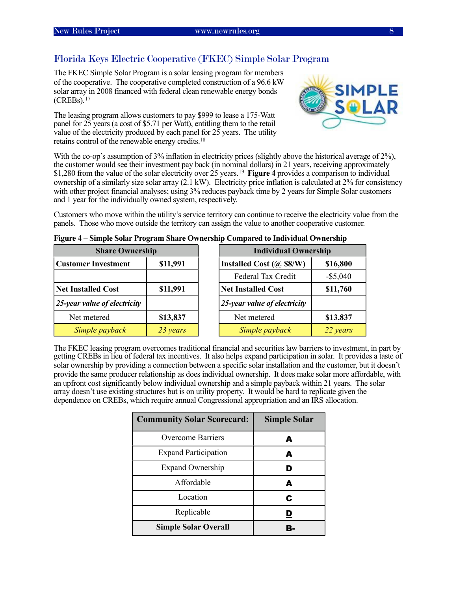### <span id="page-11-0"></span>Florida Keys Electric Cooperative (FKEC) Simple Solar Program

The FKEC Simple Solar Program is a solar leasing program for members of the cooperative. The cooperative completed construction of a 96.6 kW solar array in 2008 financed with federal clean renewable energy bonds  $(CREBs)$ <sup>[17](#page-40-17)</sup>

The leasing program allows customers to pay \$999 to lease a 175-Watt panel for 25 years (a cost of \$5.71 per Watt), entitling them to the retail value of the electricity produced by each panel for 25 years. The utility retains control of the renewable energy credits[.18](#page-40-18)



With the co-op's assumption of 3% inflation in electricity prices (slightly above the historical average of 2%), the customer would see their investment pay back (in nominal dollars) in 21 years, receiving approximately \$1,280 from the value of the solar electricity over 25 years.<sup>19</sup> **Figure 4** provides a comparison to individual ownership of a similarly size solar array (2.1 kW). Electricity price inflation is calculated at 2% for consistency with other project financial analyses; using 3% reduces payback time by 2 years for Simple Solar customers and 1 year for the individually owned system, respectively.

Customers who move within the utility's service territory can continue to receive the electricity value from the panels. Those who move outside the territory can assign the value to another cooperative customer.

| <b>Share Ownership</b>                 |          |  | <b>Individual Ownership</b>  |             |  |
|----------------------------------------|----------|--|------------------------------|-------------|--|
| \$11,991<br><b>Customer Investment</b> |          |  | Installed Cost $(a)$ \$8/W)  | \$16,800    |  |
|                                        |          |  | Federal Tax Credit           | $-$ \$5,040 |  |
| <b>Net Installed Cost</b><br>\$11,991  |          |  | <b>Net Installed Cost</b>    | \$11,760    |  |
| 25-year value of electricity           |          |  | 25-year value of electricity |             |  |
| Net metered                            | \$13,837 |  | Net metered                  | \$13,837    |  |
| Simple payback<br>23 years             |          |  | Simple payback               | 22 years    |  |

|  |  | Figure 4 – Simple Solar Program Share Ownership Compared to Individual Ownership |  |
|--|--|----------------------------------------------------------------------------------|--|
|  |  |                                                                                  |  |

The FKEC leasing program overcomes traditional financial and securities law barriers to investment, in part by getting CREBs in lieu of federal tax incentives. It also helps expand participation in solar. It provides a taste of solar ownership by providing a connection between a specific solar installation and the customer, but it doesn't provide the same producer relationship as does individual ownership. It does make solar more affordable, with an upfront cost significantly below individual ownership and a simple payback within 21 years. The solar array doesn't use existing structures but is on utility property. It would be hard to replicate given the dependence on CREBs, which require annual Congressional appropriation and an IRS allocation.

| <b>Community Solar Scorecard:</b> | <b>Simple Solar</b> |
|-----------------------------------|---------------------|
| <b>Overcome Barriers</b>          | А                   |
| <b>Expand Participation</b>       | A                   |
| <b>Expand Ownership</b>           |                     |
| Affordable                        | A                   |
| Location                          | C                   |
| Replicable                        |                     |
| <b>Simple Solar Overall</b>       |                     |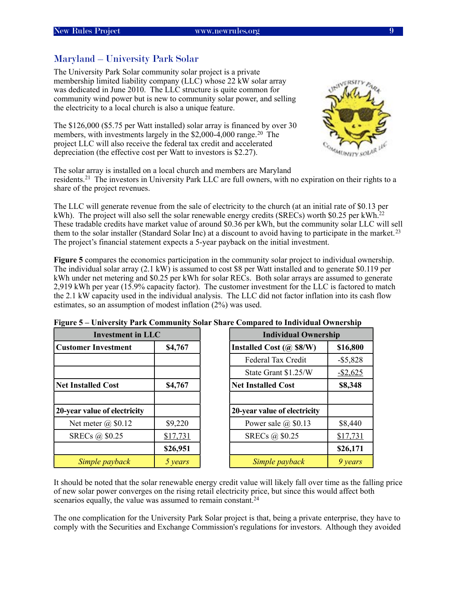### <span id="page-12-0"></span>Maryland – University Park Solar

The University Park Solar community solar project is a private membership limited liability company (LLC) whose 22 kW solar array was dedicated in June 2010. The LLC structure is quite common for community wind power but is new to community solar power, and selling the electricity to a local church is also a unique feature.

The \$126,000 (\$5.75 per Watt installed) solar array is financed by over 30 members, with investments largely in the \$2,000-4,000 range.<sup>20</sup> The project LLC will also receive the federal tax credit and accelerated depreciation (the effective cost per Watt to investors is \$2.27).



The solar array is installed on a local church and members are Maryland residents.[21](#page-40-21) The investors in University Park LLC are full owners, with no expiration on their rights to a share of the project revenues.

The LLC will generate revenue from the sale of electricity to the church (at an initial rate of \$0.13 per kWh). The project will also sell the solar renewable energy credits (SRECs) worth \$0.25 per kWh.<sup>22</sup> These tradable credits have market value of around \$0.36 per kWh, but the community solar LLC will sell them to the solar installer (Standard Solar Inc) at a discount to avoid having to participate in the market.<sup>23</sup> The project's financial statement expects a 5-year payback on the initial investment.

**Figure 5** compares the economics participation in the community solar project to individual ownership. The individual solar array (2.1 kW) is assumed to cost \$8 per Watt installed and to generate \$0.119 per kWh under net metering and \$0.25 per kWh for solar RECs. Both solar arrays are assumed to generate 2,919 kWh per year (15.9% capacity factor). The customer investment for the LLC is factored to match the 2.1 kW capacity used in the individual analysis. The LLC did not factor inflation into its cash flow estimates, so an assumption of modest inflation (2%) was used.

| <b>Investment in LLC</b>             |          | <b>Individual Ownership</b>  |             |  |
|--------------------------------------|----------|------------------------------|-------------|--|
| <b>Customer Investment</b>           | \$4,767  | Installed Cost $(a)$ \$8/W)  | \$16,800    |  |
|                                      |          | Federal Tax Credit           | $-$ \$5,828 |  |
|                                      |          | State Grant \$1.25/W         | $-$ \$2,625 |  |
| <b>Net Installed Cost</b><br>\$4,767 |          | <b>Net Installed Cost</b>    | \$8,348     |  |
|                                      |          |                              |             |  |
| 20-year value of electricity         |          | 20-year value of electricity |             |  |
| Net meter $\omega$ \$0.12            | \$9,220  | Power sale $(a)$ \$0.13      | \$8,440     |  |
| SRECs @ \$0.25                       | \$17,731 | SRECs @ \$0.25               | \$17,731    |  |
|                                      | \$26,951 |                              | \$26,171    |  |
| Simple payback                       | 5 years  | Simple payback               | 9 years     |  |

|  |  | Figure 5 – University Park Community Solar Share Compared to Individual Ownership |
|--|--|-----------------------------------------------------------------------------------|
|  |  |                                                                                   |
|  |  |                                                                                   |

It should be noted that the solar renewable energy credit value will likely fall over time as the falling price of new solar power converges on the rising retail electricity price, but since this would affect both scenarios equally, the value was assumed to remain constant.<sup>24</sup>

The one complication for the University Park Solar project is that, being a private enterprise, they have to comply with the Securities and Exchange Commission's regulations for investors. Although they avoided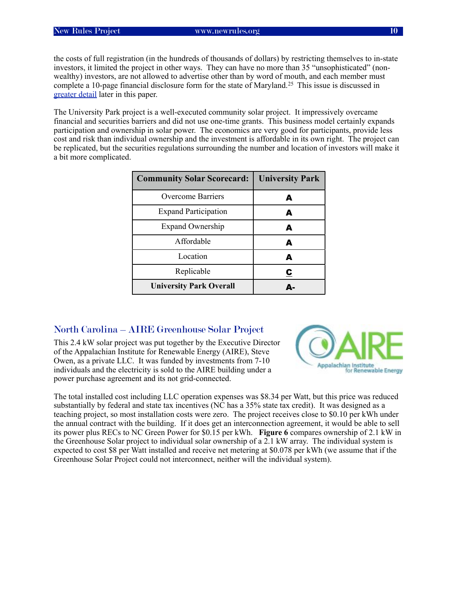the costs of full registration (in the hundreds of thousands of dollars) by restricting themselves to in-state investors, it limited the project in other ways. They can have no more than 35 "unsophisticated" (nonwealthy) investors, are not allowed to advertise other than by word of mouth, and each member must complete a 10-page financial disclosure form for the state of Maryland.[25](#page-40-25) This issue is discussed in [greater detail](#page-36-2) later in this paper.

The University Park project is a well-executed community solar project. It impressively overcame financial and securities barriers and did not use one-time grants. This business model certainly expands participation and ownership in solar power. The economics are very good for participants, provide less cost and risk than individual ownership and the investment is affordable in its own right. The project can be replicated, but the securities regulations surrounding the number and location of investors will make it a bit more complicated.

| <b>Community Solar Scorecard:</b> | <b>University Park</b> |
|-----------------------------------|------------------------|
| Overcome Barriers                 | А                      |
| <b>Expand Participation</b>       | А                      |
| <b>Expand Ownership</b>           | А                      |
| Affordable                        | Δ                      |
| Location                          | А                      |
| Replicable                        | С                      |
| <b>University Park Overall</b>    | Δ.                     |

#### <span id="page-13-0"></span>North Carolina – AIRE Greenhouse Solar Project

This 2.4 kW solar project was put together by the Executive Director of the Appalachian Institute for Renewable Energy (AIRE), Steve Owen, as a private LLC. It was funded by investments from 7-10 individuals and the electricity is sold to the AIRE building under a power purchase agreement and its not grid-connected.



The total installed cost including LLC operation expenses was \$8.34 per Watt, but this price was reduced substantially by federal and state tax incentives (NC has a 35% state tax credit). It was designed as a teaching project, so most installation costs were zero. The project receives close to \$0.10 per kWh under the annual contract with the building. If it does get an interconnection agreement, it would be able to sell its power plus RECs to NC Green Power for \$0.15 per kWh. **Figure 6** compares ownership of 2.1 kW in the Greenhouse Solar project to individual solar ownership of a 2.1 kW array. The individual system is expected to cost \$8 per Watt installed and receive net metering at \$0.078 per kWh (we assume that if the Greenhouse Solar Project could not interconnect, neither will the individual system).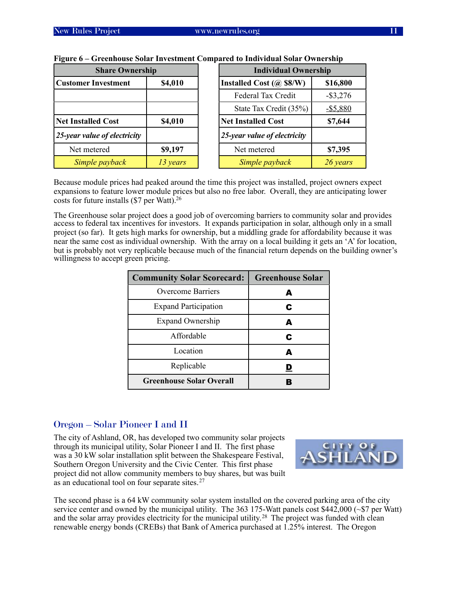| <b>Share Ownership</b>                |          | <b>Individual Ownership</b>           |
|---------------------------------------|----------|---------------------------------------|
| <b>Customer Investment</b><br>\$4,010 |          | Installed Cost (@ \$8/W)<br>\$16,800  |
|                                       |          | Federal Tax Credit<br>$-$ \$3,276     |
|                                       |          | State Tax Credit (35%)<br>$-$ \$5,880 |
| <b>Net Installed Cost</b><br>\$4,010  |          | <b>Net Installed Cost</b><br>\$7,644  |
| $25$ -year value of electricity       |          | $25$ -year value of electricity       |
| Net metered                           | \$9,197  | Net metered<br>\$7,395                |
| Simple payback                        | 13 years | Simple payback<br>26 years            |

#### **Figure 6 – Greenhouse Solar Investment Compared to Individual Solar Ownership**

Because module prices had peaked around the time this project was installed, project owners expect expansions to feature lower module prices but also no free labor. Overall, they are anticipating lower costs for future installs (\$7 per Watt)[.26](#page-40-26)

The Greenhouse solar project does a good job of overcoming barriers to community solar and provides access to federal tax incentives for investors. It expands participation in solar, although only in a small project (so far). It gets high marks for ownership, but a middling grade for affordability because it was near the same cost as individual ownership. With the array on a local building it gets an 'A' for location, but is probably not very replicable because much of the financial return depends on the building owner's willingness to accept green pricing.

| <b>Community Solar Scorecard:</b> | <b>Greenhouse Solar</b> |
|-----------------------------------|-------------------------|
| Overcome Barriers                 | А                       |
| <b>Expand Participation</b>       | С                       |
| <b>Expand Ownership</b>           | A                       |
| Affordable                        | C                       |
| Location                          | Д                       |
| Replicable                        |                         |
| <b>Greenhouse Solar Overall</b>   |                         |

#### <span id="page-14-0"></span>Oregon – Solar Pioneer I and II

The city of Ashland, OR, has developed two community solar projects through its municipal utility, Solar Pioneer I and II. The first phase was a 30 kW solar installation split between the Shakespeare Festival, Southern Oregon University and the Civic Center. This first phase project did not allow community members to buy shares, but was built as an educational tool on four separate sites.[27](#page-40-27)



The second phase is a 64 kW community solar system installed on the covered parking area of the city service center and owned by the municipal utility. The 363 175-Watt panels cost \$442,000 (~\$7 per Watt) and the solar array provides electricity for the municipal utility.<sup>28</sup> The project was funded with clean renewable energy bonds (CREBs) that Bank of America purchased at 1.25% interest. The Oregon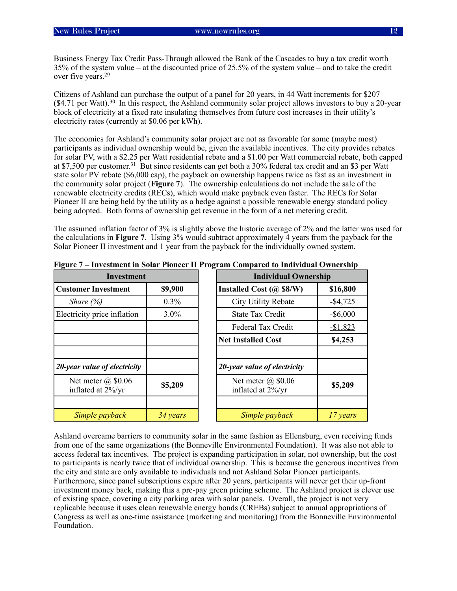Business Energy Tax Credit Pass-Through allowed the Bank of the Cascades to buy a tax credit worth 35% of the system value – at the discounted price of 25.5% of the system value – and to take the credit over five years[.29](#page-40-29)

Citizens of Ashland can purchase the output of a panel for 20 years, in 44 Watt increments for \$207 (\$4.71 per Watt).[30](#page-40-30) In this respect, the Ashland community solar project allows investors to buy a 20-year block of electricity at a fixed rate insulating themselves from future cost increases in their utility's electricity rates (currently at \$0.06 per kWh).

The economics for Ashland's community solar project are not as favorable for some (maybe most) participants as individual ownership would be, given the available incentives. The city provides rebates for solar PV, with a \$2.25 per Watt residential rebate and a \$1.00 per Watt commercial rebate, both capped at \$7,500 per customer.[31](#page-40-31) But since residents can get both a 30% federal tax credit and an \$3 per Watt state solar PV rebate (\$6,000 cap), the payback on ownership happens twice as fast as an investment in the community solar project (**Figure 7**). The ownership calculations do not include the sale of the renewable electricity credits (RECs), which would make payback even faster. The RECs for Solar Pioneer II are being held by the utility as a hedge against a possible renewable energy standard policy being adopted. Both forms of ownership get revenue in the form of a net metering credit.

The assumed inflation factor of 3% is slightly above the historic average of 2% and the latter was used for the calculations in **Figure 7**. Using 3% would subtract approximately 4 years from the payback for the Solar Pioneer II investment and 1 year from the payback for the individually owned system.

| 0<br><b>Investment</b>                      |          |
|---------------------------------------------|----------|
| <b>Customer Investment</b><br>\$9,900       |          |
| Share $(\%)$                                | $0.3\%$  |
| Electricity price inflation                 | $3.0\%$  |
|                                             |          |
|                                             |          |
|                                             |          |
| 20-year value of electricity                |          |
| Net meter $(a)$ \$0.06<br>inflated at 2%/yr | \$5,209  |
|                                             |          |
| Simple payback                              | 34 years |

**Figure 7 – Investment in Solar Pioneer II Program Compared to Individual Ownership**

Ashland overcame barriers to community solar in the same fashion as Ellensburg, even receiving funds from one of the same organizations (the Bonneville Environmental Foundation). It was also not able to access federal tax incentives. The project is expanding participation in solar, not ownership, but the cost to participants is nearly twice that of individual ownership. This is because the generous incentives from the city and state are only available to individuals and not Ashland Solar Pioneer participants. Furthermore, since panel subscriptions expire after 20 years, participants will never get their up-front investment money back, making this a pre-pay green pricing scheme. The Ashland project is clever use of existing space, covering a city parking area with solar panels. Overall, the project is not very replicable because it uses clean renewable energy bonds (CREBs) subject to annual appropriations of Congress as well as one-time assistance (marketing and monitoring) from the Bonneville Environmental Foundation.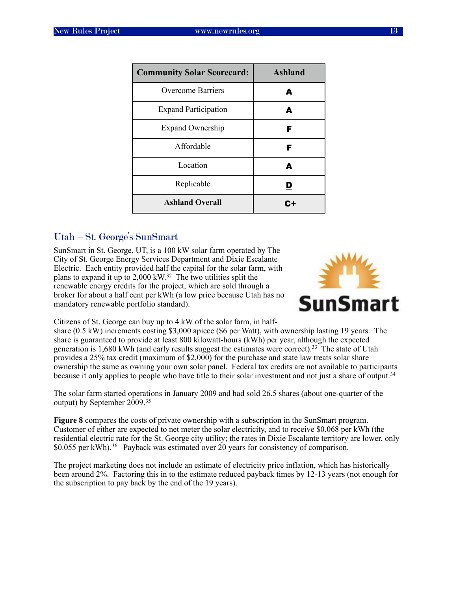| <b>Community Solar Scorecard:</b> | <b>Ashland</b> |
|-----------------------------------|----------------|
| <b>Overcome Barriers</b>          | A              |
| <b>Expand Participation</b>       | А              |
| <b>Expand Ownership</b>           | F              |
| Affordable                        | F              |
| Location                          | A              |
| Replicable                        | D              |
| <b>Ashland Overall</b>            |                |

#### <span id="page-16-0"></span>Utah – St. George's SunSmart

SunSmart in St. George, UT, is a 100 kW solar farm operated by The City of St. George Energy Services Department and Dixie Escalante Electric. Each entity provided half the capital for the solar farm, with plans to expand it up to 2,000 kW.[32](#page-40-32) The two utilities split the renewable energy credits for the project, which are sold through a broker for about a half cent per kWh (a low price because Utah has no mandatory renewable portfolio standard).



Citizens of St. George can buy up to 4 kW of the solar farm, in half-

share (0.5 kW) increments costing \$3,000 apiece (\$6 per Watt), with ownership lasting 19 years. The share is guaranteed to provide at least 800 kilowatt-hours (kWh) per year, although the expected generation is 1,680 kWh (and early results suggest the estimates were correct)[.33](#page-40-33) The state of Utah provides a 25% tax credit (maximum of \$2,000) for the purchase and state law treats solar share ownership the same as owning your own solar panel. Federal tax credits are not available to participants because it only applies to people who have title to their solar investment and not just a share of output.[34](#page-40-34)

The solar farm started operations in January 2009 and had sold 26.5 shares (about one-quarter of the output) by September 2009.[35](#page-40-35)

**Figure 8** compares the costs of private ownership with a subscription in the SunSmart program. Customer of either are expected to net meter the solar electricity, and to receive \$0.068 per kWh (the residential electric rate for the St. George city utility; the rates in Dixie Escalante territory are lower, only \$0.055 per kWh).<sup>36</sup> Payback was estimated over 20 years for consistency of comparison.

The project marketing does not include an estimate of electricity price inflation, which has historically been around 2%. Factoring this in to the estimate reduced payback times by 12-13 years (not enough for the subscription to pay back by the end of the 19 years).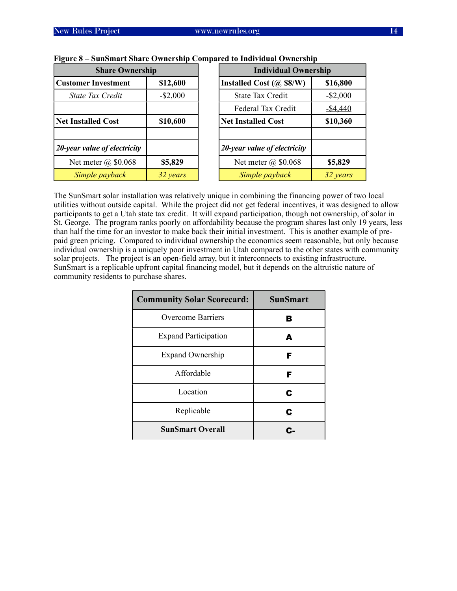| <b>Share Ownership</b>     | <b>Individual Ownership</b>  |                         |  |
|----------------------------|------------------------------|-------------------------|--|
| \$12,600                   | Installed Cost $(a)$ \$8/W)  | \$16,800<br>$-$ \$2,000 |  |
| $-$ \$2,000                | <b>State Tax Credit</b>      |                         |  |
|                            | Federal Tax Credit           | $-$ \$4,440             |  |
| \$10,600                   | <b>Net Installed Cost</b>    | \$10,360                |  |
|                            | 20-year value of electricity |                         |  |
| \$5,829                    | Net meter $\omega$ \$0.068   | \$5,829                 |  |
| Simple payback<br>32 years |                              | 32 years                |  |
|                            |                              | Simple payback          |  |

#### **Figure 8 – SunSmart Share Ownership Compared to Individual Ownership**

The SunSmart solar installation was relatively unique in combining the financing power of two local utilities without outside capital. While the project did not get federal incentives, it was designed to allow participants to get a Utah state tax credit. It will expand participation, though not ownership, of solar in St. George. The program ranks poorly on affordability because the program shares last only 19 years, less than half the time for an investor to make back their initial investment. This is another example of prepaid green pricing. Compared to individual ownership the economics seem reasonable, but only because individual ownership is a uniquely poor investment in Utah compared to the other states with community solar projects. The project is an open-field array, but it interconnects to existing infrastructure. SunSmart is a replicable upfront capital financing model, but it depends on the altruistic nature of community residents to purchase shares.

| <b>Community Solar Scorecard:</b> | <b>SunSmart</b> |
|-----------------------------------|-----------------|
| <b>Overcome Barriers</b>          | В               |
| <b>Expand Participation</b>       | А               |
| <b>Expand Ownership</b>           | F               |
| Affordable                        | F               |
| Location                          | C               |
| Replicable                        | <u>င</u>        |
| <b>SunSmart Overall</b>           |                 |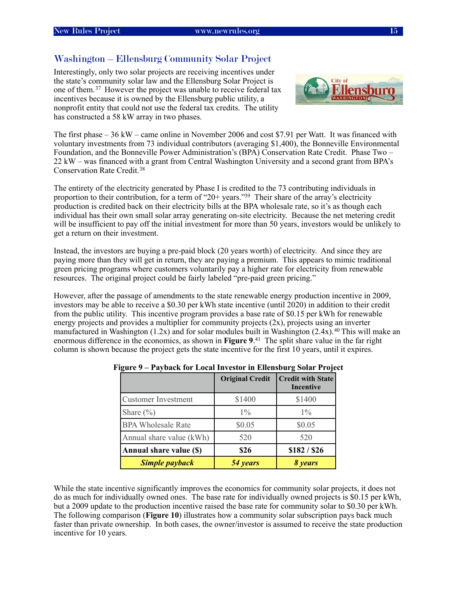#### <span id="page-18-0"></span>Washington – Ellensburg Community Solar Project

Interestingly, only two solar projects are receiving incentives under the state's community solar law and the Ellensburg Solar Project is one of them.[37](#page-40-37) However the project was unable to receive federal tax incentives because it is owned by the Ellensburg public utility, a nonprofit entity that could not use the federal tax credits. The utility has constructed a 58 kW array in two phases.



The first phase – 36 kW – came online in November 2006 and cost \$7.91 per Watt. It was financed with voluntary investments from 73 individual contributors (averaging \$1,400), the Bonneville Environmental Foundation, and the Bonneville Power Administration's (BPA) Conservation Rate Credit. Phase Two – 22 kW – was financed with a grant from Central Washington University and a second grant from BPA's Conservation Rate Credit.[38](#page-40-38)

The entirety of the electricity generated by Phase I is credited to the 73 contributing individuals in proportion to their contribution, for a term of "20+ years.["39](#page-41-0) Their share of the array's electricity production is credited back on their electricity bills at the BPA wholesale rate, so it's as though each individual has their own small solar array generating on-site electricity. Because the net metering credit will be insufficient to pay off the initial investment for more than 50 years, investors would be unlikely to get a return on their investment.

Instead, the investors are buying a pre-paid block (20 years worth) of electricity. And since they are paying more than they will get in return, they are paying a premium. This appears to mimic traditional green pricing programs where customers voluntarily pay a higher rate for electricity from renewable resources. The original project could be fairly labeled "pre-paid green pricing."

However, after the passage of amendments to the state renewable energy production incentive in 2009, investors may be able to receive a \$0.30 per kWh state incentive (until 2020) in addition to their credit from the public utility. This incentive program provides a base rate of \$0.15 per kWh for renewable energy projects and provides a multiplier for community projects  $(2x)$ , projects using an inverter manufactured in Washington (1.2x) and for solar modules built in Washington (2.4x).<sup>40</sup> This will make an enormous difference in the economics, as shown in **Figure 9**. [41](#page-41-2) The split share value in the far right column is shown because the project gets the state incentive for the first 10 years, until it expires.

|                            | <b>Original Credit</b> | <b>Credit with State</b><br>Incentive |
|----------------------------|------------------------|---------------------------------------|
| <b>Customer Investment</b> | \$1400                 | \$1400                                |
| Share $(\% )$              | $1\%$                  | $1\%$                                 |
| <b>BPA Wholesale Rate</b>  | \$0.05                 | \$0.05                                |
| Annual share value (kWh)   | 520                    | 520                                   |
| Annual share value (\$)    | \$26                   | \$182 / \$26                          |
| <b>Simple payback</b>      | 54 years               | 8 years                               |

**Figure 9 – Payback for Local Investor in Ellensburg Solar Project**

While the state incentive significantly improves the economics for community solar projects, it does not do as much for individually owned ones. The base rate for individually owned projects is \$0.15 per kWh, but a 2009 update to the production incentive raised the base rate for community solar to \$0.30 per kWh. The following comparison (**Figure 10**) illustrates how a community solar subscription pays back much faster than private ownership. In both cases, the owner/investor is assumed to receive the state production incentive for 10 years.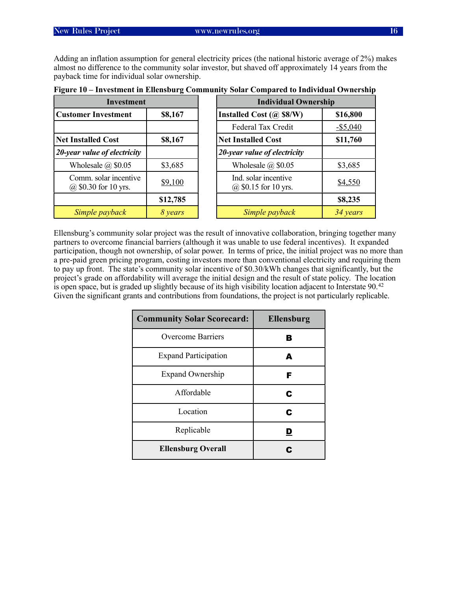Adding an inflation assumption for general electricity prices (the national historic average of 2%) makes almost no difference to the community solar investor, but shaved off approximately 14 years from the payback time for individual solar ownership.

| <b>Investment</b>                             |          |  | <b>Individual Ownership</b>                      |             |  |
|-----------------------------------------------|----------|--|--------------------------------------------------|-------------|--|
| <b>Customer Investment</b>                    | \$8,167  |  | Installed Cost $(a)$ \$8/W)                      | \$16,800    |  |
|                                               |          |  | Federal Tax Credit                               | $-$ \$5,040 |  |
| <b>Net Installed Cost</b>                     | \$8,167  |  | <b>Net Installed Cost</b>                        | \$11,760    |  |
| 20-year value of electricity                  |          |  | 20-year value of electricity                     |             |  |
| Wholesale $(a)$ \$0.05<br>\$3,685             |          |  | Wholesale $(a)$ \$0.05                           | \$3,685     |  |
| Comm. solar incentive<br>@ \$0.30 for 10 yrs. | \$9,100  |  | Ind. solar incentive<br>$(a)$ \$0.15 for 10 yrs. | \$4,550     |  |
|                                               | \$12,785 |  |                                                  | \$8,235     |  |
| Simple payback<br>8 years                     |          |  | Simple payback                                   | 34 years    |  |

| Figure 10 – Investment in Ellensburg Community Solar Compared to Individual Ownership |  |  |  |
|---------------------------------------------------------------------------------------|--|--|--|
|                                                                                       |  |  |  |

Ellensburg's community solar project was the result of innovative collaboration, bringing together many partners to overcome financial barriers (although it was unable to use federal incentives). It expanded participation, though not ownership, of solar power. In terms of price, the initial project was no more than a pre-paid green pricing program, costing investors more than conventional electricity and requiring them to pay up front. The state's community solar incentive of \$0.30/kWh changes that significantly, but the project's grade on affordability will average the initial design and the result of state policy. The location is open space, but is graded up slightly because of its high visibility location adjacent to Interstate 90.<sup>42</sup> Given the significant grants and contributions from foundations, the project is not particularly replicable.

| <b>Community Solar Scorecard:</b> | Ellensburg |
|-----------------------------------|------------|
| <b>Overcome Barriers</b>          | в          |
| <b>Expand Participation</b>       | A          |
| <b>Expand Ownership</b>           | F          |
| Affordable                        | C          |
| Location                          | C          |
| Replicable                        | D          |
| <b>Ellensburg Overall</b>         | c          |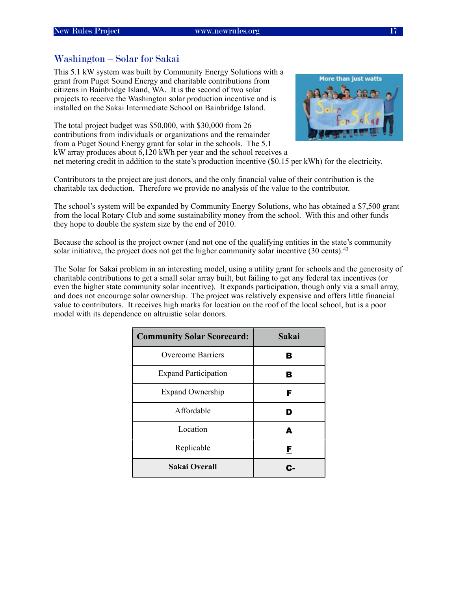#### <span id="page-20-0"></span>Washington – Solar for Sakai

This 5.1 kW system was built by Community Energy Solutions with a grant from Puget Sound Energy and charitable contributions from citizens in Bainbridge Island, WA. It is the second of two solar projects to receive the Washington solar production incentive and is installed on the Sakai Intermediate School on Bainbridge Island.

The total project budget was \$50,000, with \$30,000 from 26 contributions from individuals or organizations and the remainder from a Puget Sound Energy grant for solar in the schools. The 5.1 kW array produces about 6,120 kWh per year and the school receives a



net metering credit in addition to the state's production incentive (\$0.15 per kWh) for the electricity.

Contributors to the project are just donors, and the only financial value of their contribution is the charitable tax deduction. Therefore we provide no analysis of the value to the contributor.

The school's system will be expanded by Community Energy Solutions, who has obtained a \$7,500 grant from the local Rotary Club and some sustainability money from the school. With this and other funds they hope to double the system size by the end of 2010.

Because the school is the project owner (and not one of the qualifying entities in the state's community solar initiative, the project does not get the higher community solar incentive (30 cents).<sup>[43](#page-41-4)</sup>

The Solar for Sakai problem in an interesting model, using a utility grant for schools and the generosity of charitable contributions to get a small solar array built, but failing to get any federal tax incentives (or even the higher state community solar incentive). It expands participation, though only via a small array, and does not encourage solar ownership. The project was relatively expensive and offers little financial value to contributors. It receives high marks for location on the roof of the local school, but is a poor model with its dependence on altruistic solar donors.

| <b>Community Solar Scorecard:</b> | Sakai |
|-----------------------------------|-------|
| <b>Overcome Barriers</b>          | В     |
| <b>Expand Participation</b>       | В     |
| <b>Expand Ownership</b>           | F     |
| Affordable                        | D     |
| Location                          | A     |
| Replicable                        | F     |
| Sakai Overall                     | r.    |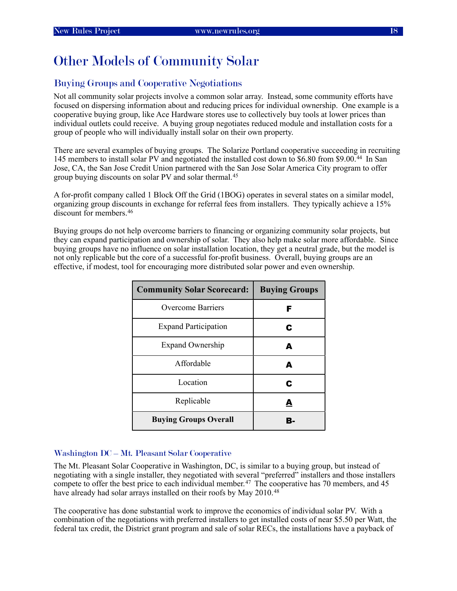# <span id="page-21-0"></span>Other Models of Community Solar

#### <span id="page-21-1"></span>Buying Groups and Cooperative Negotiations

Not all community solar projects involve a common solar array. Instead, some community efforts have focused on dispersing information about and reducing prices for individual ownership. One example is a cooperative buying group, like Ace Hardware stores use to collectively buy tools at lower prices than individual outlets could receive. A buying group negotiates reduced module and installation costs for a group of people who will individually install solar on their own property.

There are several examples of buying groups. The Solarize Portland cooperative succeeding in recruiting 145 members to install solar PV and negotiated the installed cost down to \$6.80 from \$9.00.[44](#page-41-5) In San Jose, CA, the San Jose Credit Union partnered with the San Jose Solar America City program to offer group buying discounts on solar PV and solar thermal.[45](#page-41-6)

A for-profit company called 1 Block Off the Grid (1BOG) operates in several states on a similar model, organizing group discounts in exchange for referral fees from installers. They typically achieve a 15% discount for members.[46](#page-41-7)

Buying groups do not help overcome barriers to financing or organizing community solar projects, but they can expand participation and ownership of solar. They also help make solar more affordable. Since buying groups have no influence on solar installation location, they get a neutral grade, but the model is not only replicable but the core of a successful for-profit business. Overall, buying groups are an effective, if modest, tool for encouraging more distributed solar power and even ownership.

| <b>Community Solar Scorecard:</b> | <b>Buying Groups</b> |
|-----------------------------------|----------------------|
| <b>Overcome Barriers</b>          | F                    |
| <b>Expand Participation</b>       | С                    |
| <b>Expand Ownership</b>           | А                    |
| Affordable                        | A                    |
| Location                          | С                    |
| Replicable                        | А                    |
| <b>Buying Groups Overall</b>      | B.                   |

#### <span id="page-21-2"></span>Washington DC – Mt. Pleasant Solar Cooperative

The Mt. Pleasant Solar Cooperative in Washington, DC, is similar to a buying group, but instead of negotiating with a single installer, they negotiated with several "preferred" installers and those installers compete to offer the best price to each individual member.<sup>47</sup> The cooperative has 70 members, and 45 have already had solar arrays installed on their roofs by May 2010.<sup>48</sup>

The cooperative has done substantial work to improve the economics of individual solar PV. With a combination of the negotiations with preferred installers to get installed costs of near \$5.50 per Watt, the federal tax credit, the District grant program and sale of solar RECs, the installations have a payback of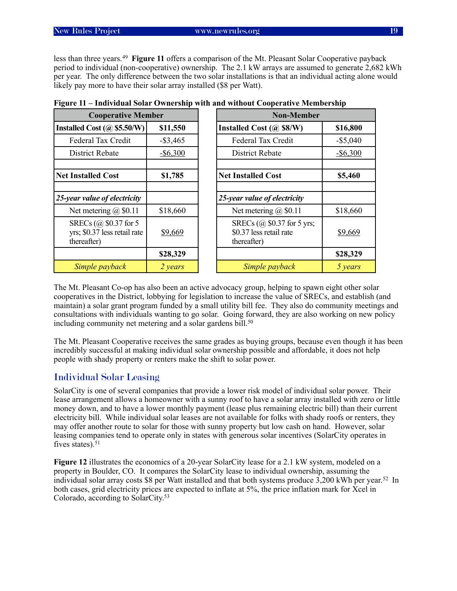less than three years.[49](#page-41-10) **Figure 11** offers a comparison of the Mt. Pleasant Solar Cooperative payback period to individual (non-cooperative) ownership. The 2.1 kW arrays are assumed to generate 2,682 kWh per year. The only difference between the two solar installations is that an individual acting alone would likely pay more to have their solar array installed (\$8 per Watt).

| <b>Cooperative Member</b>                                            |             |
|----------------------------------------------------------------------|-------------|
| Installed Cost $(a)$ \$5.50/W)                                       | \$11,550    |
| Federal Tax Credit                                                   | $-$ \$3,465 |
| <b>District Rebate</b>                                               | $-$ \$6,300 |
| <b>Net Installed Cost</b>                                            | \$1,785     |
| 25-year value of electricity                                         |             |
| Net metering $(a)$ \$0.11                                            | \$18,660    |
| SRECs (@ \$0.37 for 5<br>yrs; \$0.37 less retail rate<br>thereafter) | \$9,669     |
|                                                                      | \$28,329    |
| Simple payback                                                       | 2 years     |

|  |  | Figure 11 – Individual Solar Ownership with and without Cooperative Membership |  |
|--|--|--------------------------------------------------------------------------------|--|
|  |  |                                                                                |  |

The Mt. Pleasant Co-op has also been an active advocacy group, helping to spawn eight other solar cooperatives in the District, lobbying for legislation to increase the value of SRECs, and establish (and maintain) a solar grant program funded by a small utility bill fee. They also do community meetings and consultations with individuals wanting to go solar. Going forward, they are also working on new policy including community net metering and a solar gardens bill.<sup>[50](#page-41-11)</sup>

The Mt. Pleasant Cooperative receives the same grades as buying groups, because even though it has been incredibly successful at making individual solar ownership possible and affordable, it does not help people with shady property or renters make the shift to solar power.

#### <span id="page-22-0"></span>Individual Solar Leasing

SolarCity is one of several companies that provide a lower risk model of individual solar power. Their lease arrangement allows a homeowner with a sunny roof to have a solar array installed with zero or little money down, and to have a lower monthly payment (lease plus remaining electric bill) than their current electricity bill. While individual solar leases are not available for folks with shady roofs or renters, they may offer another route to solar for those with sunny property but low cash on hand. However, solar leasing companies tend to operate only in states with generous solar incentives (SolarCity operates in fives states). $51$ 

**Figure 12** illustrates the economics of a 20-year SolarCity lease for a 2.1 kW system, modeled on a property in Boulder, CO. It compares the SolarCity lease to individual ownership, assuming the individual solar array costs \$8 per Watt installed and that both systems produce 3,200 kWh per year.[52](#page-41-13) In both cases, grid electricity prices are expected to inflate at 5%, the price inflation mark for Xcel in Colorado, according to SolarCity[.53](#page-41-14)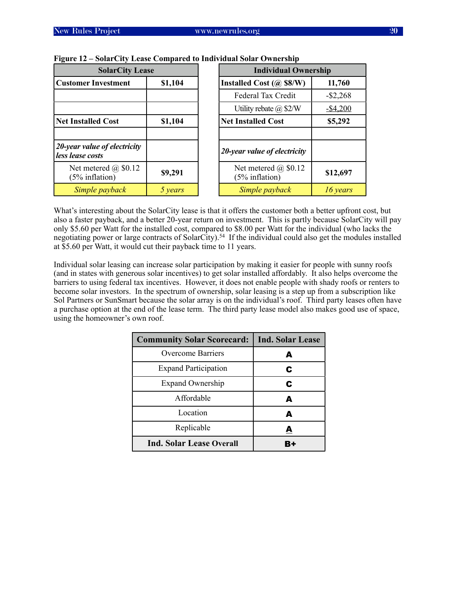| <b>SolarCity Lease</b>                           |         | <b>Individual Ownership</b>                   |             |  |
|--------------------------------------------------|---------|-----------------------------------------------|-------------|--|
| <b>Customer Investment</b>                       | \$1,104 | Installed Cost $(a)$ \$8/W)                   | 11,760      |  |
|                                                  |         | Federal Tax Credit                            | $-$ \$2,268 |  |
|                                                  |         | Utility rebate $(a)$ \$2/W                    | $-$ \$4,200 |  |
| <b>Net Installed Cost</b>                        | \$1,104 | <b>Net Installed Cost</b>                     | \$5,292     |  |
|                                                  |         |                                               |             |  |
| 20-year value of electricity<br>less lease costs |         | 20-year value of electricity                  |             |  |
| Net metered $\omega$ \$0.12<br>$(5\%$ inflation) | \$9,291 | Net metered $\omega$ \$0.12<br>(5% inflation) | \$12,697    |  |
| Simple payback                                   | 5 years | Simple payback                                | 16 years    |  |

#### **Figure 12 – SolarCity Lease Compared to Individual Solar Ownership**

What's interesting about the SolarCity lease is that it offers the customer both a better upfront cost, but also a faster payback, and a better 20-year return on investment. This is partly because SolarCity will pay only \$5.60 per Watt for the installed cost, compared to \$8.00 per Watt for the individual (who lacks the negotiating power or large contracts of SolarCity).[54](#page-41-15) If the individual could also get the modules installed at \$5.60 per Watt, it would cut their payback time to 11 years.

Individual solar leasing can increase solar participation by making it easier for people with sunny roofs (and in states with generous solar incentives) to get solar installed affordably. It also helps overcome the barriers to using federal tax incentives. However, it does not enable people with shady roofs or renters to become solar investors. In the spectrum of ownership, solar leasing is a step up from a subscription like Sol Partners or SunSmart because the solar array is on the individual's roof. Third party leases often have a purchase option at the end of the lease term. The third party lease model also makes good use of space, using the homeowner's own roof.

| <b>Community Solar Scorecard:</b> | <b>Ind. Solar Lease</b> |
|-----------------------------------|-------------------------|
| <b>Overcome Barriers</b>          | A                       |
| <b>Expand Participation</b>       | C                       |
| <b>Expand Ownership</b>           | C                       |
| Affordable                        | A                       |
| Location                          | A                       |
| Replicable                        | А                       |
| Ind. Solar Lease Overall          |                         |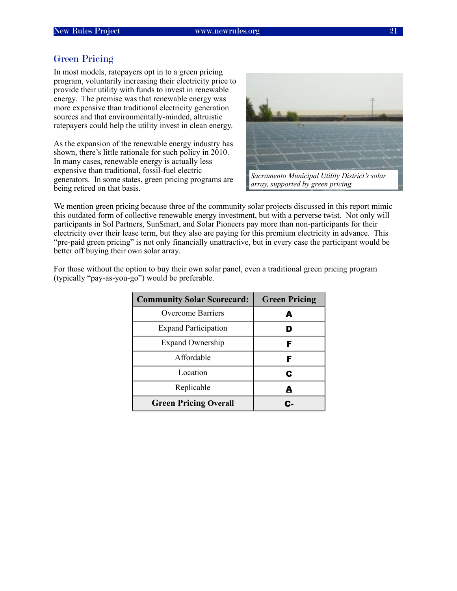#### <span id="page-24-0"></span>Green Pricing

In most models, ratepayers opt in to a green pricing program, voluntarily increasing their electricity price to provide their utility with funds to invest in renewable energy. The premise was that renewable energy was more expensive than traditional electricity generation sources and that environmentally-minded, altruistic ratepayers could help the utility invest in clean energy.

As the expansion of the renewable energy industry has shown, there's little rationale for such policy in 2010. In many cases, renewable energy is actually less expensive than traditional, fossil-fuel electric generators. In some states, green pricing programs are being retired on that basis.



*array, supported by green pricing.*

We mention green pricing because three of the community solar projects discussed in this report mimic this outdated form of collective renewable energy investment, but with a perverse twist. Not only will participants in Sol Partners, SunSmart, and Solar Pioneers pay more than non-participants for their electricity over their lease term, but they also are paying for this premium electricity in advance. This "pre-paid green pricing" is not only financially unattractive, but in every case the participant would be better off buying their own solar array.

| <b>Community Solar Scorecard:</b> | <b>Green Pricing</b> |
|-----------------------------------|----------------------|
| Overcome Barriers                 | А                    |
| <b>Expand Participation</b>       |                      |
| <b>Expand Ownership</b>           | F                    |
| Affordable                        | F                    |
| Location                          | С                    |
| Replicable                        | А                    |
| <b>Green Pricing Overall</b>      |                      |

For those without the option to buy their own solar panel, even a traditional green pricing program (typically "pay-as-you-go") would be preferable.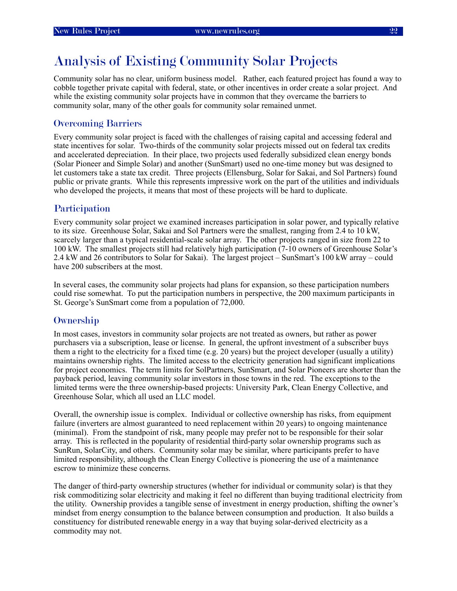# <span id="page-25-0"></span>Analysis of Existing Community Solar Projects

Community solar has no clear, uniform business model. Rather, each featured project has found a way to cobble together private capital with federal, state, or other incentives in order create a solar project. And while the existing community solar projects have in common that they overcame the barriers to community solar, many of the other goals for community solar remained unmet.

#### <span id="page-25-1"></span>Overcoming Barriers

Every community solar project is faced with the challenges of raising capital and accessing federal and state incentives for solar. Two-thirds of the community solar projects missed out on federal tax credits and accelerated depreciation. In their place, two projects used federally subsidized clean energy bonds (Solar Pioneer and Simple Solar) and another (SunSmart) used no one-time money but was designed to let customers take a state tax credit. Three projects (Ellensburg, Solar for Sakai, and Sol Partners) found public or private grants. While this represents impressive work on the part of the utilities and individuals who developed the projects, it means that most of these projects will be hard to duplicate.

#### <span id="page-25-2"></span>Participation

Every community solar project we examined increases participation in solar power, and typically relative to its size. Greenhouse Solar, Sakai and Sol Partners were the smallest, ranging from 2.4 to 10 kW, scarcely larger than a typical residential-scale solar array. The other projects ranged in size from 22 to 100 kW. The smallest projects still had relatively high participation (7-10 owners of Greenhouse Solar's 2.4 kW and 26 contributors to Solar for Sakai). The largest project – SunSmart's 100 kW array – could have 200 subscribers at the most.

In several cases, the community solar projects had plans for expansion, so these participation numbers could rise somewhat. To put the participation numbers in perspective, the 200 maximum participants in St. George's SunSmart come from a population of 72,000.

#### <span id="page-25-3"></span>**Ownership**

In most cases, investors in community solar projects are not treated as owners, but rather as power purchasers via a subscription, lease or license. In general, the upfront investment of a subscriber buys them a right to the electricity for a fixed time (e.g. 20 years) but the project developer (usually a utility) maintains ownership rights. The limited access to the electricity generation had significant implications for project economics. The term limits for SolPartners, SunSmart, and Solar Pioneers are shorter than the payback period, leaving community solar investors in those towns in the red. The exceptions to the limited terms were the three ownership-based projects: University Park, Clean Energy Collective, and Greenhouse Solar, which all used an LLC model.

Overall, the ownership issue is complex. Individual or collective ownership has risks, from equipment failure (inverters are almost guaranteed to need replacement within 20 years) to ongoing maintenance (minimal). From the standpoint of risk, many people may prefer not to be responsible for their solar array. This is reflected in the popularity of residential third-party solar ownership programs such as SunRun, SolarCity, and others. Community solar may be similar, where participants prefer to have limited responsibility, although the Clean Energy Collective is pioneering the use of a maintenance escrow to minimize these concerns.

The danger of third-party ownership structures (whether for individual or community solar) is that they risk commoditizing solar electricity and making it feel no different than buying traditional electricity from the utility. Ownership provides a tangible sense of investment in energy production, shifting the owner's mindset from energy consumption to the balance between consumption and production. It also builds a constituency for distributed renewable energy in a way that buying solar-derived electricity as a commodity may not.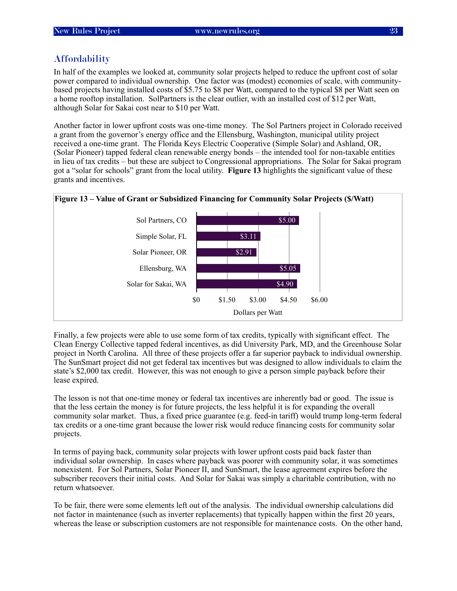#### <span id="page-26-0"></span>**Affordability**

In half of the examples we looked at, community solar projects helped to reduce the upfront cost of solar power compared to individual ownership. One factor was (modest) economies of scale, with communitybased projects having installed costs of \$5.75 to \$8 per Watt, compared to the typical \$8 per Watt seen on a home rooftop installation. SolPartners is the clear outlier, with an installed cost of \$12 per Watt, although Solar for Sakai cost near to \$10 per Watt.

Another factor in lower upfront costs was one-time money. The Sol Partners project in Colorado received a grant from the governor's energy office and the Ellensburg, Washington, municipal utility project received a one-time grant. The Florida Keys Electric Cooperative (Simple Solar) and Ashland, OR, (Solar Pioneer) tapped federal clean renewable energy bonds – the intended tool for non-taxable entities in lieu of tax credits – but these are subject to Congressional appropriations. The Solar for Sakai program got a "solar for schools" grant from the local utility. **Figure 13** highlights the significant value of these grants and incentives.





Finally, a few projects were able to use some form of tax credits, typically with significant effect. The Clean Energy Collective tapped federal incentives, as did University Park, MD, and the Greenhouse Solar project in North Carolina. All three of these projects offer a far superior payback to individual ownership. The SunSmart project did not get federal tax incentives but was designed to allow individuals to claim the state's \$2,000 tax credit. However, this was not enough to give a person simple payback before their lease expired.

The lesson is not that one-time money or federal tax incentives are inherently bad or good. The issue is that the less certain the money is for future projects, the less helpful it is for expanding the overall community solar market. Thus, a fixed price guarantee (e.g. feed-in tariff) would trump long-term federal tax credits or a one-time grant because the lower risk would reduce financing costs for community solar projects.

In terms of paying back, community solar projects with lower upfront costs paid back faster than individual solar ownership. In cases where payback was poorer with community solar, it was sometimes nonexistent. For Sol Partners, Solar Pioneer II, and SunSmart, the lease agreement expires before the subscriber recovers their initial costs. And Solar for Sakai was simply a charitable contribution, with no return whatsoever.

To be fair, there were some elements left out of the analysis. The individual ownership calculations did not factor in maintenance (such as inverter replacements) that typically happen within the first 20 years, whereas the lease or subscription customers are not responsible for maintenance costs. On the other hand,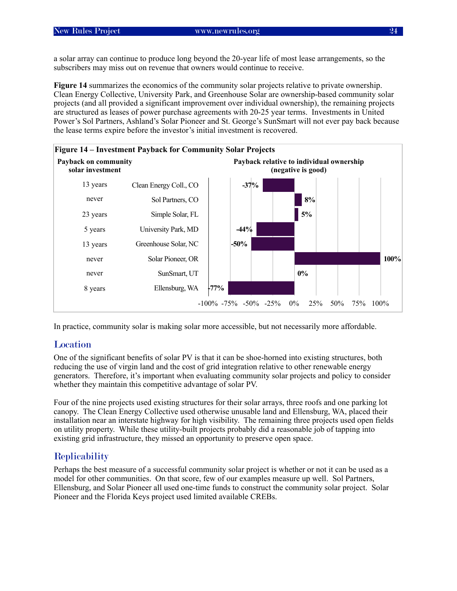a solar array can continue to produce long beyond the 20-year life of most lease arrangements, so the subscribers may miss out on revenue that owners would continue to receive.

**Figure 14** summarizes the economics of the community solar projects relative to private ownership. Clean Energy Collective, University Park, and Greenhouse Solar are ownership-based community solar projects (and all provided a significant improvement over individual ownership), the remaining projects are structured as leases of power purchase agreements with 20-25 year terms. Investments in United Power's Sol Partners, Ashland's Solar Pioneer and St. George's SunSmart will not ever pay back because the lease terms expire before the investor's initial investment is recovered.



<span id="page-27-0"></span>In practice, community solar is making solar more accessible, but not necessarily more affordable.

#### Location

One of the significant benefits of solar PV is that it can be shoe-horned into existing structures, both reducing the use of virgin land and the cost of grid integration relative to other renewable energy generators. Therefore, it's important when evaluating community solar projects and policy to consider whether they maintain this competitive advantage of solar PV.

Four of the nine projects used existing structures for their solar arrays, three roofs and one parking lot canopy. The Clean Energy Collective used otherwise unusable land and Ellensburg, WA, placed their installation near an interstate highway for high visibility. The remaining three projects used open fields on utility property. While these utility-built projects probably did a reasonable job of tapping into existing grid infrastructure, they missed an opportunity to preserve open space.

#### <span id="page-27-1"></span>**Replicability**

Perhaps the best measure of a successful community solar project is whether or not it can be used as a model for other communities. On that score, few of our examples measure up well. Sol Partners, Ellensburg, and Solar Pioneer all used one-time funds to construct the community solar project. Solar Pioneer and the Florida Keys project used limited available CREBs.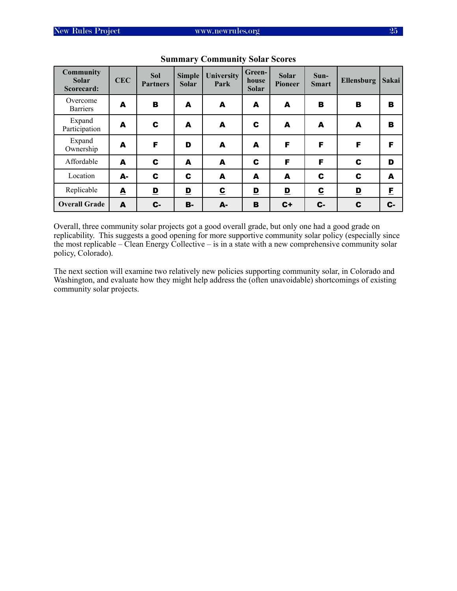| <b>Community</b><br><b>Solar</b><br>Scorecard: | <b>CEC</b> | <b>Sol</b><br><b>Partners</b> | <b>Simple</b><br><b>Solar</b> | <b>University</b><br>Park | Green-<br>house<br>Solar | <b>Solar</b><br><b>Pioneer</b> | $Sun-$<br><b>Smart</b>  | <b>Ellensburg</b> | Sakai |
|------------------------------------------------|------------|-------------------------------|-------------------------------|---------------------------|--------------------------|--------------------------------|-------------------------|-------------------|-------|
| Overcome<br><b>Barriers</b>                    | A          | B                             | A                             | A                         | A                        | A                              | в                       | B                 | B     |
| Expand<br>Participation                        | A          | C                             | A                             | A                         | C                        | A                              | A                       | A                 | B     |
| Expand<br>Ownership                            | A          | F                             | D                             | A                         | A                        | F                              | F                       | F                 | F     |
| Affordable                                     | A          | C                             | A                             | A                         | C                        | F                              | F                       | C                 | D     |
| Location                                       | А-         | C                             | C                             | A                         | A                        | A                              | C                       | C                 | A     |
| Replicable                                     | A          | $\overline{\mathbf{D}}$       | $\mathbf{D}$                  | $\overline{\mathbf{c}}$   | $\overline{\mathbf{D}}$  | $\overline{\mathbf{D}}$        | $\overline{\mathbf{c}}$ | $\mathbf{D}$      | E     |
| <b>Overall Grade</b>                           | A          | C-                            | в.                            | A-                        | B                        | $c+$                           | $c-$                    | C                 | $c-$  |

**Summary Community Solar Scores**

Overall, three community solar projects got a good overall grade, but only one had a good grade on replicability. This suggests a good opening for more supportive community solar policy (especially since the most replicable – Clean Energy Collective – is in a state with a new comprehensive community solar policy, Colorado).

The next section will examine two relatively new policies supporting community solar, in Colorado and Washington, and evaluate how they might help address the (often unavoidable) shortcomings of existing community solar projects.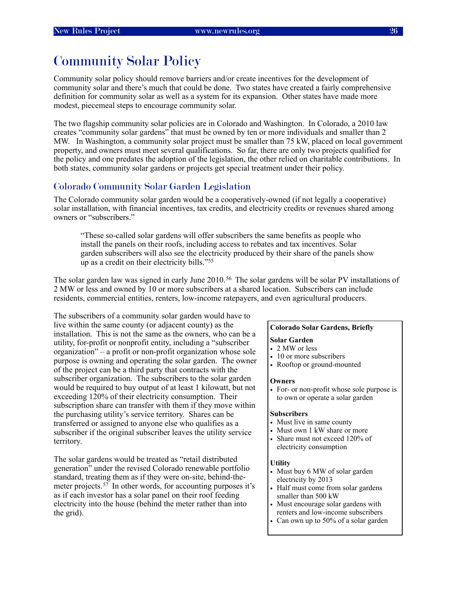## <span id="page-29-0"></span>Community Solar Policy

Community solar policy should remove barriers and/or create incentives for the development of community solar and there's much that could be done. Two states have created a fairly comprehensive definition for community solar as well as a system for its expansion. Other states have made more modest, piecemeal steps to encourage community solar.

The two flagship community solar policies are in Colorado and Washington. In Colorado, a 2010 law creates "community solar gardens" that must be owned by ten or more individuals and smaller than 2 MW. In Washington, a community solar project must be smaller than 75 kW, placed on local government property, and owners must meet several qualifications. So far, there are only two projects qualified for the policy and one predates the adoption of the legislation, the other relied on charitable contributions. In both states, community solar gardens or projects get special treatment under their policy.

#### <span id="page-29-1"></span>Colorado Community Solar Garden Legislation

The Colorado community solar garden would be a cooperatively-owned (if not legally a cooperative) solar installation, with financial incentives, tax credits, and electricity credits or revenues shared among owners or "subscribers."

"These so-called solar gardens will offer subscribers the same benefits as people who install the panels on their roofs, including access to rebates and tax incentives. Solar garden subscribers will also see the electricity produced by their share of the panels show up as a credit on their electricity bills.["55](#page-41-16)

The solar garden law was signed in early June 2010.<sup>56</sup> The solar gardens will be solar PV installations of 2 MW or less and owned by 10 or more subscribers at a shared location. Subscribers can include residents, commercial entities, renters, low-income ratepayers, and even agricultural producers.

The subscribers of a community solar garden would have to live within the same county (or adjacent county) as the installation. This is not the same as the owners, who can be a utility, for-profit or nonprofit entity, including a "subscriber organization" – a profit or non-profit organization whose sole purpose is owning and operating the solar garden. The owner of the project can be a third party that contracts with the subscriber organization. The subscribers to the solar garden would be required to buy output of at least 1 kilowatt, but not exceeding 120% of their electricity consumption. Their subscription share can transfer with them if they move within the purchasing utility's service territory. Shares can be transferred or assigned to anyone else who qualifies as a subscriber if the original subscriber leaves the utility service territory.

The solar gardens would be treated as "retail distributed generation" under the revised Colorado renewable portfolio standard, treating them as if they were on-site, behind-themeter projects.<sup>57</sup> In other words, for accounting purposes it's as if each investor has a solar panel on their roof feeding electricity into the house (behind the meter rather than into the grid).

#### **Colorado Solar Gardens, Briefly**

#### **Solar Garden**

- 2 MW or less
- 10 or more subscribers
- Rooftop or ground-mounted

#### **Owners**

• For- or non-profit whose sole purpose is to own or operate a solar garden

#### **Subscribers**

- Must live in same county
- Must own 1 kW share or more
- Share must not exceed 120% of electricity consumption

#### **Utility**

- Must buy 6 MW of solar garden electricity by 2013
- Half must come from solar gardens smaller than 500 kW
- Must encourage solar gardens with renters and low-income subscribers
- Can own up to 50% of a solar garden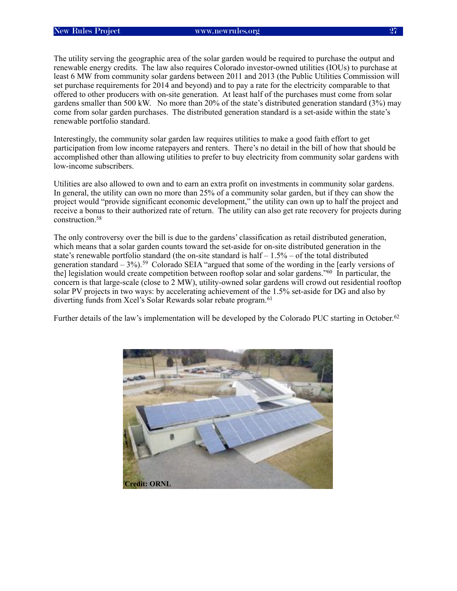The utility serving the geographic area of the solar garden would be required to purchase the output and renewable energy credits. The law also requires Colorado investor-owned utilities (IOUs) to purchase at least 6 MW from community solar gardens between 2011 and 2013 (the Public Utilities Commission will set purchase requirements for 2014 and beyond) and to pay a rate for the electricity comparable to that offered to other producers with on-site generation. At least half of the purchases must come from solar gardens smaller than 500 kW. No more than 20% of the state's distributed generation standard (3%) may come from solar garden purchases. The distributed generation standard is a set-aside within the state's renewable portfolio standard.

Interestingly, the community solar garden law requires utilities to make a good faith effort to get participation from low income ratepayers and renters. There's no detail in the bill of how that should be accomplished other than allowing utilities to prefer to buy electricity from community solar gardens with low-income subscribers.

Utilities are also allowed to own and to earn an extra profit on investments in community solar gardens. In general, the utility can own no more than 25% of a community solar garden, but if they can show the project would "provide significant economic development," the utility can own up to half the project and receive a bonus to their authorized rate of return. The utility can also get rate recovery for projects during construction[.58](#page-41-19)

The only controversy over the bill is due to the gardens' classification as retail distributed generation, which means that a solar garden counts toward the set-aside for on-site distributed generation in the state's renewable portfolio standard (the on-site standard is half  $-1.5%$  – of the total distributed generation standard  $-3\%$ ).<sup>59</sup> Colorado SEIA "argued that some of the wording in the [early versions of the] legislation would create competition between rooftop solar and solar gardens.["60](#page-41-21) In particular, the concern is that large-scale (close to 2 MW), utility-owned solar gardens will crowd out residential rooftop solar PV projects in two ways: by accelerating achievement of the 1.5% set-aside for DG and also by diverting funds from Xcel's Solar Rewards solar rebate program.<sup>61</sup>

Further details of the law's implementation will be developed by the Colorado PUC starting in October.<sup>[62](#page-41-23)</sup>

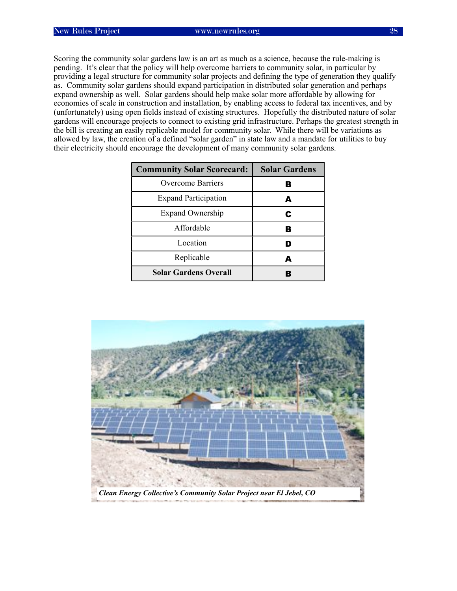Scoring the community solar gardens law is an art as much as a science, because the rule-making is pending. It's clear that the policy will help overcome barriers to community solar, in particular by providing a legal structure for community solar projects and defining the type of generation they qualify as. Community solar gardens should expand participation in distributed solar generation and perhaps expand ownership as well. Solar gardens should help make solar more affordable by allowing for economies of scale in construction and installation, by enabling access to federal tax incentives, and by (unfortunately) using open fields instead of existing structures. Hopefully the distributed nature of solar gardens will encourage projects to connect to existing grid infrastructure. Perhaps the greatest strength in the bill is creating an easily replicable model for community solar. While there will be variations as allowed by law, the creation of a defined "solar garden" in state law and a mandate for utilities to buy their electricity should encourage the development of many community solar gardens.

| <b>Community Solar Scorecard:</b> | <b>Solar Gardens</b> |
|-----------------------------------|----------------------|
| <b>Overcome Barriers</b>          | В                    |
| <b>Expand Participation</b>       | А                    |
| <b>Expand Ownership</b>           | С                    |
| Affordable                        | B                    |
| Location                          |                      |
| Replicable                        | A                    |
| <b>Solar Gardens Overall</b>      | в                    |

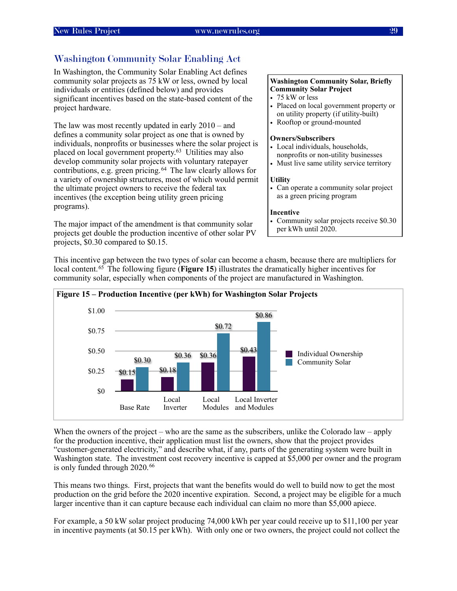### <span id="page-32-0"></span>Washington Community Solar Enabling Act

In Washington, the Community Solar Enabling Act defines community solar projects as 75 kW or less, owned by local individuals or entities (defined below) and provides significant incentives based on the state-based content of the project hardware.

The law was most recently updated in early 2010 – and defines a community solar project as one that is owned by individuals, nonprofits or businesses where the solar project is placed on local government property.[63](#page-41-24) Utilities may also develop community solar projects with voluntary ratepayer contributions, e.g. green pricing.[64](#page-41-25) The law clearly allows for a variety of ownership structures, most of which would permit the ultimate project owners to receive the federal tax incentives (the exception being utility green pricing programs).

The major impact of the amendment is that community solar projects get double the production incentive of other solar PV projects, \$0.30 compared to \$0.15.

#### **Washington Community Solar, Briefly Community Solar Project**

- 75 kW or less
- Placed on local government property or on utility property (if utility-built)
- Rooftop or ground-mounted

#### **Owners/Subscribers**

- Local individuals, households, nonprofits or non-utility businesses
- Must live same utility service territory

#### **Utility**

• Can operate a community solar project as a green pricing program

#### **Incentive**

• Community solar projects receive \$0.30 per kWh until 2020.

 **Figure 15 – Production Incentive (per kWh) for Washington Solar Projects** Individual Ownership Community Solar \$0 \$0.25 \$0.50 \$0.75 \$1.00 Base Rate Local Inverter Local Modules Local Inverter and Modules \$0.86 \$0.72  $$0.30$   $$0.36$  $\frac{$0.36}{$0.36}$  \$0.43  $$0.15$   $$0.18$ 

This incentive gap between the two types of solar can become a chasm, because there are multipliers for local content.[65](#page-41-26) The following figure (**Figure 15**) illustrates the dramatically higher incentives for community solar, especially when components of the project are manufactured in Washington.

When the owners of the project – who are the same as the subscribers, unlike the Colorado law – apply for the production incentive, their application must list the owners, show that the project provides "customer-generated electricity," and describe what, if any, parts of the generating system were built in Washington state. The investment cost recovery incentive is capped at \$5,000 per owner and the program is only funded through 2020.<sup>66</sup>

This means two things. First, projects that want the benefits would do well to build now to get the most production on the grid before the 2020 incentive expiration. Second, a project may be eligible for a much larger incentive than it can capture because each individual can claim no more than \$5,000 apiece.

For example, a 50 kW solar project producing 74,000 kWh per year could receive up to \$11,100 per year in incentive payments (at \$0.15 per kWh). With only one or two owners, the project could not collect the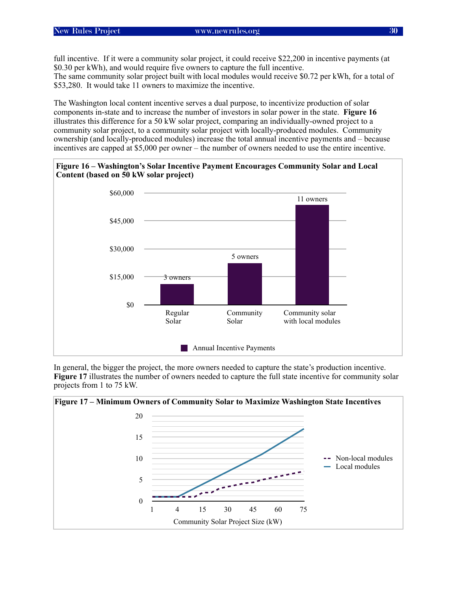full incentive. If it were a community solar project, it could receive \$22,200 in incentive payments (at \$0.30 per kWh), and would require five owners to capture the full incentive.

The same community solar project built with local modules would receive \$0.72 per kWh, for a total of \$53,280. It would take 11 owners to maximize the incentive.

The Washington local content incentive serves a dual purpose, to incentivize production of solar components in-state and to increase the number of investors in solar power in the state. **Figure 16** illustrates this difference for a 50 kW solar project, comparing an individually-owned project to a community solar project, to a community solar project with locally-produced modules. Community ownership (and locally-produced modules) increase the total annual incentive payments and – because incentives are capped at \$5,000 per owner – the number of owners needed to use the entire incentive.





In general, the bigger the project, the more owners needed to capture the state's production incentive. **Figure 17** illustrates the number of owners needed to capture the full state incentive for community solar projects from 1 to 75 kW.

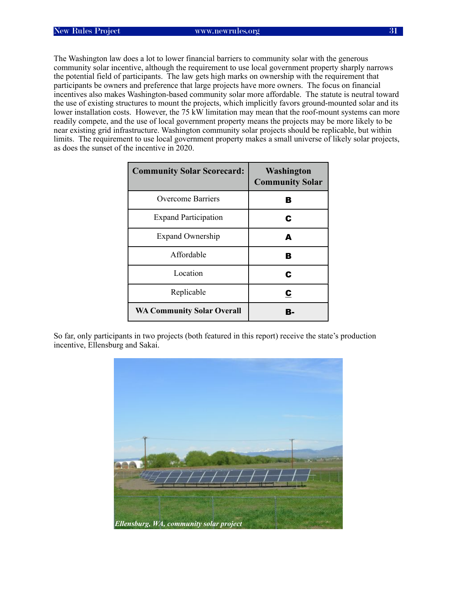The Washington law does a lot to lower financial barriers to community solar with the generous community solar incentive, although the requirement to use local government property sharply narrows the potential field of participants. The law gets high marks on ownership with the requirement that participants be owners and preference that large projects have more owners. The focus on financial incentives also makes Washington-based community solar more affordable. The statute is neutral toward the use of existing structures to mount the projects, which implicitly favors ground-mounted solar and its lower installation costs. However, the 75 kW limitation may mean that the roof-mount systems can more readily compete, and the use of local government property means the projects may be more likely to be near existing grid infrastructure. Washington community solar projects should be replicable, but within limits. The requirement to use local government property makes a small universe of likely solar projects, as does the sunset of the incentive in 2020.

| <b>Community Solar Scorecard:</b> | Washington<br><b>Community Solar</b> |
|-----------------------------------|--------------------------------------|
| <b>Overcome Barriers</b>          | в                                    |
| <b>Expand Participation</b>       | C                                    |
| <b>Expand Ownership</b>           | А                                    |
| Affordable                        | в                                    |
| Location                          | C                                    |
| Replicable                        | $\overline{\mathbf{c}}$              |
| <b>WA Community Solar Overall</b> | R.                                   |

So far, only participants in two projects (both featured in this report) receive the state's production incentive, Ellensburg and Sakai.

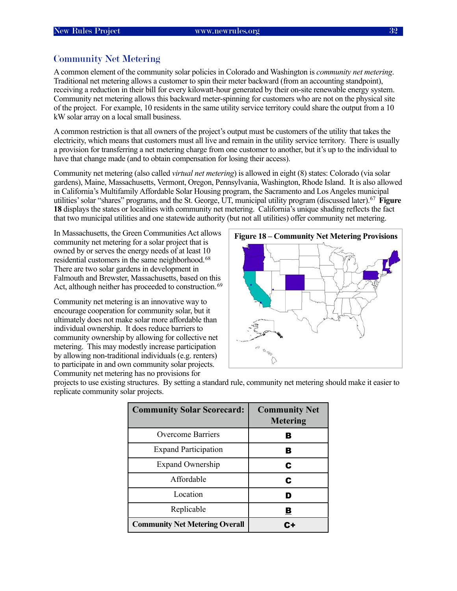#### <span id="page-35-0"></span>Community Net Metering

A common element of the community solar policies in Colorado and Washington is *community net metering*. Traditional net metering allows a customer to spin their meter backward (from an accounting standpoint), receiving a reduction in their bill for every kilowatt-hour generated by their on-site renewable energy system. Community net metering allows this backward meter-spinning for customers who are not on the physical site of the project. For example, 10 residents in the same utility service territory could share the output from a 10 kW solar array on a local small business.

A common restriction is that all owners of the project's output must be customers of the utility that takes the electricity, which means that customers must all live and remain in the utility service territory. There is usually a provision for transferring a net metering charge from one customer to another, but it's up to the individual to have that change made (and to obtain compensation for losing their access).

Community net metering (also called *virtual net metering*) is allowed in eight (8) states: Colorado (via solar gardens), Maine, Massachusetts, Vermont, Oregon, Pennsylvania, Washington, Rhode Island. It is also allowed in California's Multifamily Affordable Solar Housing program, the Sacramento and Los Angeles municipal utilities' solar "shares" programs, and the St. George, UT, municipal utility program (discussed later).[67](#page-41-28) **Figure 18** displays the states or localities with community net metering. California's unique shading reflects the fact that two municipal utilities and one statewide authority (but not all utilities) offer community net metering.

In Massachusetts, the Green Communities Act allows community net metering for a solar project that is owned by or serves the energy needs of at least 10 residential customers in the same neighborhood.<sup>68</sup> There are two solar gardens in development in Falmouth and Brewster, Massachusetts, based on this Act, although neither has proceeded to construction.<sup>[69](#page-41-30)</sup>

Community net metering is an innovative way to encourage cooperation for community solar, but it ultimately does not make solar more affordable than individual ownership. It does reduce barriers to community ownership by allowing for collective net metering. This may modestly increase participation by allowing non-traditional individuals (e.g. renters) to participate in and own community solar projects. Community net metering has no provisions for



projects to use existing structures. By setting a standard rule, community net metering should make it easier to replicate community solar projects.

| <b>Community Solar Scorecard:</b>     | <b>Community Net</b><br><b>Metering</b> |
|---------------------------------------|-----------------------------------------|
| Overcome Barriers                     | В                                       |
| <b>Expand Participation</b>           | В                                       |
| <b>Expand Ownership</b>               | С                                       |
| Affordable                            | С                                       |
| Location                              |                                         |
| Replicable                            | В                                       |
| <b>Community Net Metering Overall</b> |                                         |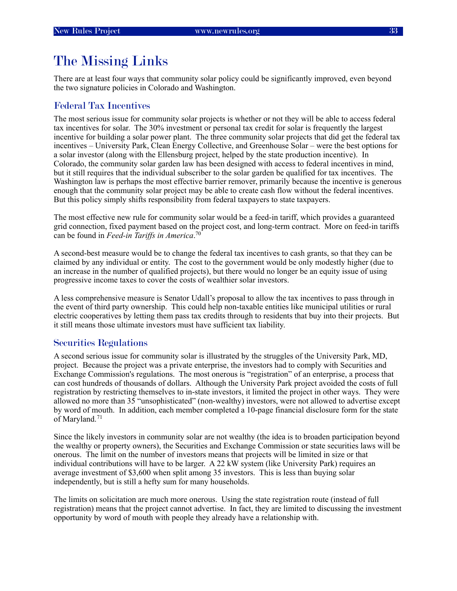# <span id="page-36-0"></span>The Missing Links

There are at least four ways that community solar policy could be significantly improved, even beyond the two signature policies in Colorado and Washington.

#### <span id="page-36-1"></span>Federal Tax Incentives

The most serious issue for community solar projects is whether or not they will be able to access federal tax incentives for solar. The 30% investment or personal tax credit for solar is frequently the largest incentive for building a solar power plant. The three community solar projects that did get the federal tax incentives – University Park, Clean Energy Collective, and Greenhouse Solar – were the best options for a solar investor (along with the Ellensburg project, helped by the state production incentive). In Colorado, the community solar garden law has been designed with access to federal incentives in mind, but it still requires that the individual subscriber to the solar garden be qualified for tax incentives. The Washington law is perhaps the most effective barrier remover, primarily because the incentive is generous enough that the community solar project may be able to create cash flow without the federal incentives. But this policy simply shifts responsibility from federal taxpayers to state taxpayers.

The most effective new rule for community solar would be a feed-in tariff, which provides a guaranteed grid connection, fixed payment based on the project cost, and long-term contract. More on feed-in tariffs can be found in *Feed-in Tariffs in America*. [70](#page-41-31)

A second-best measure would be to change the federal tax incentives to cash grants, so that they can be claimed by any individual or entity. The cost to the government would be only modestly higher (due to an increase in the number of qualified projects), but there would no longer be an equity issue of using progressive income taxes to cover the costs of wealthier solar investors.

A less comprehensive measure is Senator Udall's proposal to allow the tax incentives to pass through in the event of third party ownership. This could help non-taxable entities like municipal utilities or rural electric cooperatives by letting them pass tax credits through to residents that buy into their projects. But it still means those ultimate investors must have sufficient tax liability.

#### <span id="page-36-2"></span>Securities Regulations

A second serious issue for community solar is illustrated by the struggles of the University Park, MD, project. Because the project was a private enterprise, the investors had to comply with Securities and Exchange Commission's regulations. The most onerous is "registration" of an enterprise, a process that can cost hundreds of thousands of dollars. Although the University Park project avoided the costs of full registration by restricting themselves to in-state investors, it limited the project in other ways. They were allowed no more than 35 "unsophisticated" (non-wealthy) investors, were not allowed to advertise except by word of mouth. In addition, each member completed a 10-page financial disclosure form for the state of Maryland.<sup>71</sup>

Since the likely investors in community solar are not wealthy (the idea is to broaden participation beyond the wealthy or property owners), the Securities and Exchange Commission or state securities laws will be onerous. The limit on the number of investors means that projects will be limited in size or that individual contributions will have to be larger. A 22 kW system (like University Park) requires an average investment of \$3,600 when split among 35 investors. This is less than buying solar independently, but is still a hefty sum for many households.

The limits on solicitation are much more onerous. Using the state registration route (instead of full registration) means that the project cannot advertise. In fact, they are limited to discussing the investment opportunity by word of mouth with people they already have a relationship with.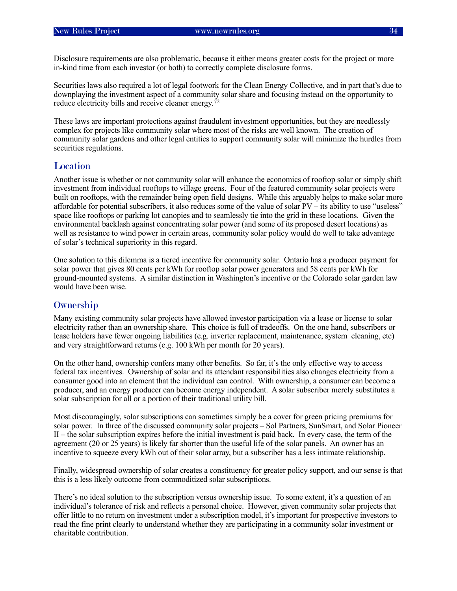Disclosure requirements are also problematic, because it either means greater costs for the project or more in-kind time from each investor (or both) to correctly complete disclosure forms.

Securities laws also required a lot of legal footwork for the Clean Energy Collective, and in part that's due to downplaying the investment aspect of a community solar share and focusing instead on the opportunity to reduce electricity bills and receive cleaner energy.<sup>[72](#page-41-33)</sup>

These laws are important protections against fraudulent investment opportunities, but they are needlessly complex for projects like community solar where most of the risks are well known. The creation of community solar gardens and other legal entities to support community solar will minimize the hurdles from securities regulations.

#### <span id="page-37-0"></span>**Location**

Another issue is whether or not community solar will enhance the economics of rooftop solar or simply shift investment from individual rooftops to village greens. Four of the featured community solar projects were built on rooftops, with the remainder being open field designs. While this arguably helps to make solar more affordable for potential subscribers, it also reduces some of the value of solar PV – its ability to use "useless" space like rooftops or parking lot canopies and to seamlessly tie into the grid in these locations. Given the environmental backlash against concentrating solar power (and some of its proposed desert locations) as well as resistance to wind power in certain areas, community solar policy would do well to take advantage of solar's technical superiority in this regard.

One solution to this dilemma is a tiered incentive for community solar. Ontario has a producer payment for solar power that gives 80 cents per kWh for rooftop solar power generators and 58 cents per kWh for ground-mounted systems. A similar distinction in Washington's incentive or the Colorado solar garden law would have been wise.

#### <span id="page-37-1"></span>**Ownership**

Many existing community solar projects have allowed investor participation via a lease or license to solar electricity rather than an ownership share. This choice is full of tradeoffs. On the one hand, subscribers or lease holders have fewer ongoing liabilities (e.g. inverter replacement, maintenance, system cleaning, etc) and very straightforward returns (e.g. 100 kWh per month for 20 years).

On the other hand, ownership confers many other benefits. So far, it's the only effective way to access federal tax incentives. Ownership of solar and its attendant responsibilities also changes electricity from a consumer good into an element that the individual can control. With ownership, a consumer can become a producer, and an energy producer can become energy independent. A solar subscriber merely substitutes a solar subscription for all or a portion of their traditional utility bill.

Most discouragingly, solar subscriptions can sometimes simply be a cover for green pricing premiums for solar power. In three of the discussed community solar projects – Sol Partners, SunSmart, and Solar Pioneer II – the solar subscription expires before the initial investment is paid back. In every case, the term of the agreement (20 or 25 years) is likely far shorter than the useful life of the solar panels. An owner has an incentive to squeeze every kWh out of their solar array, but a subscriber has a less intimate relationship.

Finally, widespread ownership of solar creates a constituency for greater policy support, and our sense is that this is a less likely outcome from commoditized solar subscriptions.

There's no ideal solution to the subscription versus ownership issue. To some extent, it's a question of an individual's tolerance of risk and reflects a personal choice. However, given community solar projects that offer little to no return on investment under a subscription model, it's important for prospective investors to read the fine print clearly to understand whether they are participating in a community solar investment or charitable contribution.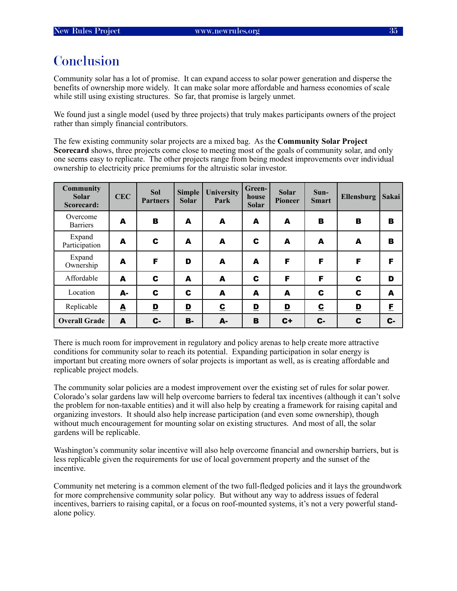# <span id="page-38-0"></span>**Conclusion**

Community solar has a lot of promise. It can expand access to solar power generation and disperse the benefits of ownership more widely. It can make solar more affordable and harness economies of scale while still using existing structures. So far, that promise is largely unmet.

We found just a single model (used by three projects) that truly makes participants owners of the project rather than simply financial contributors.

The few existing community solar projects are a mixed bag. As the **Community Solar Project Scorecard** shows, three projects come close to meeting most of the goals of community solar, and only one seems easy to replicate. The other projects range from being modest improvements over individual ownership to electricity price premiums for the altruistic solar investor.

| <b>Community</b><br><b>Solar</b><br>Scorecard: | <b>CEC</b>       | <b>Sol</b><br><b>Partners</b> | <b>Simple</b><br><b>Solar</b> | University<br>Park      | Green-<br>house<br><b>Solar</b> | <b>Solar</b><br><b>Pioneer</b> | $Sun-$<br><b>Smart</b>   | <b>Ellensburg</b> | Sakai |
|------------------------------------------------|------------------|-------------------------------|-------------------------------|-------------------------|---------------------------------|--------------------------------|--------------------------|-------------------|-------|
| Overcome<br><b>Barriers</b>                    | A                | в                             | A                             | A                       | A                               | A                              | в                        | в                 | в     |
| Expand<br>Participation                        | A                | $\mathbf c$                   | A                             | A                       | C                               | A                              | A                        | A                 | в     |
| Expand<br>Ownership                            | A                | F                             | D                             | A                       | A                               | F                              | F                        | F                 | F     |
| Affordable                                     | A                | C                             | A                             | A                       | C                               | F                              | F                        | C                 | D     |
| Location                                       | А-               | C                             | C                             | A                       | A                               | A                              | C                        | C                 | A     |
| Replicable                                     | $\blacktriangle$ | $\mathbf{D}$                  | $\mathbf{D}$                  | $\overline{\mathbf{c}}$ | $\mathbf{D}$                    | $\mathbf{D}$                   | $\underline{\mathbf{c}}$ | $\mathbf{D}$      | E     |
| <b>Overall Grade</b>                           | A                | $c-$                          | В-                            | A-                      | B                               | $C +$                          | C-                       | C                 | $c-$  |

There is much room for improvement in regulatory and policy arenas to help create more attractive conditions for community solar to reach its potential. Expanding participation in solar energy is important but creating more owners of solar projects is important as well, as is creating affordable and replicable project models.

The community solar policies are a modest improvement over the existing set of rules for solar power. Colorado's solar gardens law will help overcome barriers to federal tax incentives (although it can't solve the problem for non-taxable entities) and it will also help by creating a framework for raising capital and organizing investors. It should also help increase participation (and even some ownership), though without much encouragement for mounting solar on existing structures. And most of all, the solar gardens will be replicable.

Washington's community solar incentive will also help overcome financial and ownership barriers, but is less replicable given the requirements for use of local government property and the sunset of the incentive.

Community net metering is a common element of the two full-fledged policies and it lays the groundwork for more comprehensive community solar policy. But without any way to address issues of federal incentives, barriers to raising capital, or a focus on roof-mounted systems, it's not a very powerful standalone policy.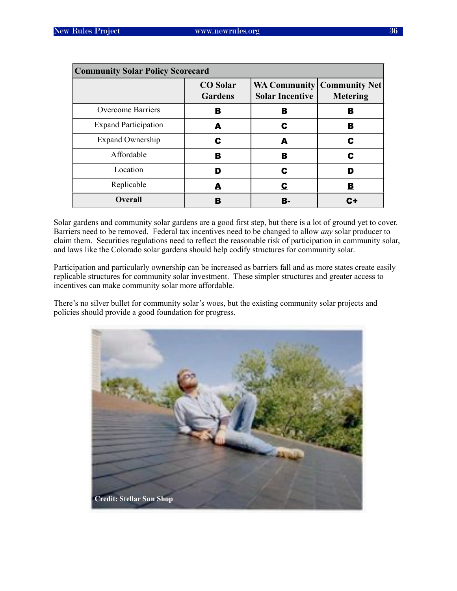| <b>Community Solar Policy Scorecard</b> |                                   |                        |                                                          |
|-----------------------------------------|-----------------------------------|------------------------|----------------------------------------------------------|
|                                         | <b>CO</b> Solar<br><b>Gardens</b> | <b>Solar Incentive</b> | <b>WA Community   Community Net  </b><br><b>Metering</b> |
| <b>Overcome Barriers</b>                | в                                 | в                      | в                                                        |
| <b>Expand Participation</b>             | А                                 | C                      | в                                                        |
| <b>Expand Ownership</b>                 | C                                 | A                      | C                                                        |
| Affordable                              | в                                 | в                      | C                                                        |
| Location                                | D                                 |                        | D                                                        |
| Replicable                              | A                                 | С                      | <u>в</u>                                                 |
| <b>Overall</b>                          |                                   | R.                     |                                                          |

Solar gardens and community solar gardens are a good first step, but there is a lot of ground yet to cover. Barriers need to be removed. Federal tax incentives need to be changed to allow *any* solar producer to claim them. Securities regulations need to reflect the reasonable risk of participation in community solar, and laws like the Colorado solar gardens should help codify structures for community solar.

Participation and particularly ownership can be increased as barriers fall and as more states create easily replicable structures for community solar investment. These simpler structures and greater access to incentives can make community solar more affordable.

There's no silver bullet for community solar's woes, but the existing community solar projects and policies should provide a good foundation for progress.

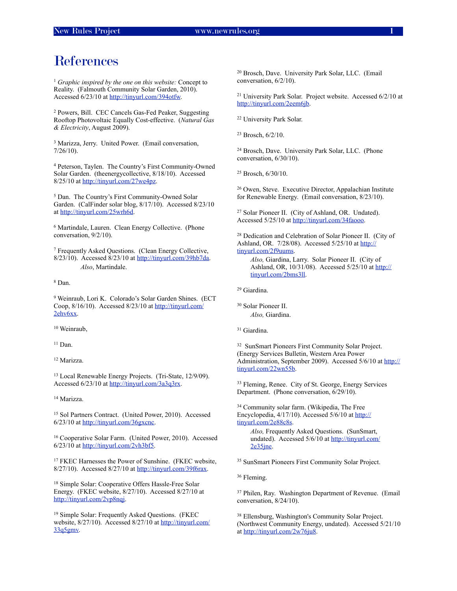### <span id="page-40-0"></span>References

<span id="page-40-1"></span><sup>1</sup> *Graphic inspired by the one on this website:* Concept to Reality. (Falmouth Community Solar Garden, 2010). Accessed 6/23/10 at [http://tinyurl.com/394otfw.](http://tinyurl.com/394otfw)

<span id="page-40-2"></span>2 Powers, Bill. CEC Cancels Gas-Fed Peaker, Suggesting Rooftop Photovoltaic Equally Cost-effective. (*Natural Gas & Electricity*, August 2009).

<span id="page-40-3"></span>3 Marizza, Jerry. United Power. (Email conversation, 7/26/10).

<span id="page-40-4"></span>4 Peterson, Taylen. The Country's First Community-Owned Solar Garden. (theenergycollective, 8/18/10). Accessed 8/25/10 at [http://tinyurl.com/27we4pz.](http://tinyurl.com/27we4pz)

<span id="page-40-5"></span>5 Dan. The Country's First Community-Owned Solar Garden. (CalFinder solar blog, 8/17/10). Accessed 8/23/10 at <http://tinyurl.com/25wrh6d>.

<span id="page-40-6"></span>6 Martindale, Lauren. Clean Energy Collective. (Phone conversation, 9/2/10).

<span id="page-40-7"></span>7 Frequently Asked Questions. (Clean Energy Collective, 8/23/10). Accessed 8/23/10 at<http://tinyurl.com/39hb7da>. *Also*, Martindale.

<span id="page-40-8"></span>8 Dan.

<span id="page-40-9"></span>9 Weinraub, Lori K. Colorado's Solar Garden Shines. (ECT Coop, 8/16/10). Accessed 8/23/10 at [http://tinyurl.com/](http://tinyurl.com/2ehv6xx) [2ehv6xx.](http://tinyurl.com/2ehv6xx)

<span id="page-40-10"></span>10 Weinraub,

<span id="page-40-11"></span>11 Dan.

<span id="page-40-12"></span>12 Marizza.

<span id="page-40-13"></span>13 Local Renewable Energy Projects. (Tri-State, 12/9/09). Accessed 6/23/10 at [http://tinyurl.com/3a3q3rx.](http://tinyurl.com/3a3q3rx)

<span id="page-40-14"></span>14 Marizza.

<span id="page-40-15"></span>15 Sol Partners Contract. (United Power, 2010). Accessed 6/23/10 at [http://tinyurl.com/36gxcnc.](http://tinyurl.com/36gxcnc)

<span id="page-40-16"></span>16 Cooperative Solar Farm. (United Power, 2010). Accessed  $6/23/10$  at [http://tinyurl.com/2vh3bf5](http://www.unitedpower.com/solpartners.aspx).

<span id="page-40-17"></span>17 FKEC Harnesses the Power of Sunshine. (FKEC website, 8/27/10). Accessed 8/27/10 at<http://tinyurl.com/39f6rax>.

<span id="page-40-18"></span>18 Simple Solar: Cooperative Offers Hassle-Free Solar Energy. (FKEC website, 8/27/10). Accessed 8/27/10 at <http://tinyurl.com/2vp8nqj>.

<span id="page-40-19"></span>19 Simple Solar: Frequently Asked Questions. (FKEC website, 8/27/10). Accessed 8/27/10 at [http://tinyurl.com/](http://tinyurl.com/33q5gmv) [33q5gmv](http://tinyurl.com/33q5gmv).

<span id="page-40-20"></span>20 Brosch, Dave. University Park Solar, LLC. (Email conversation, 6/2/10).

<span id="page-40-21"></span>21 University Park Solar. Project website. Accessed 6/2/10 at <http://tinyurl.com/2eem6jb>.

<span id="page-40-22"></span>22 University Park Solar.

<span id="page-40-23"></span>23 Brosch, 6/2/10.

<span id="page-40-24"></span>24 Brosch, Dave. University Park Solar, LLC. (Phone conversation, 6/30/10).

<span id="page-40-25"></span>25 Brosch, 6/30/10.

<span id="page-40-26"></span>26 Owen, Steve. Executive Director, Appalachian Institute for Renewable Energy. (Email conversation, 8/23/10).

<span id="page-40-27"></span>27 Solar Pioneer II. (City of Ashland, OR. Undated). Accessed 5/25/10 at [http://tinyurl.com/34faooo.](http://tinyurl.com/34faooo)

<span id="page-40-28"></span>28 Dedication and Celebration of Solar Pioneer II. (City of Ashland, OR. 7/28/08). Accessed 5/25/10 at [http://](http://tinyurl.com/2f9uums) [tinyurl.com/2f9uums](http://tinyurl.com/2f9uums).

*Also,* Giardina, Larry. Solar Pioneer II. (City of Ashland, OR, 10/31/08). Accessed 5/25/10 at [http://](http://tinyurl.com/39r8jx6) [tinyurl.com/2bms3ll.](http://tinyurl.com/39r8jx6)

<span id="page-40-29"></span>29 Giardina.

<span id="page-40-30"></span>30 Solar Pioneer II. *Also,* Giardina.

<span id="page-40-31"></span>31 Giardina.

<span id="page-40-32"></span>32 SunSmart Pioneers First Community Solar Project. (Energy Services Bulletin, Western Area Power Administration, September 2009). Accessed 5/6/10 at [http://](http://tinyurl.com/22wn55b) [tinyurl.com/22wn55b](http://tinyurl.com/22wn55b).

<span id="page-40-33"></span>33 Fleming, Renee. City of St. George, Energy Services Department. (Phone conversation, 6/29/10).

<span id="page-40-34"></span>34 Community solar farm. (Wikipedia, The Free Encyclopedia, 4/17/10). Accessed 5/6/10 at [http://](http://tinyurl.com/2e88c8s) [tinyurl.com/2e88c8s](http://tinyurl.com/2e88c8s).

*Also,* Frequently Asked Questions. (SunSmart, undated). Accessed 5/6/10 at [http://tinyurl.com/](http://tinyurl.com/2e35jne) [2e35jne](http://tinyurl.com/2e35jne).

<span id="page-40-35"></span>35 SunSmart Pioneers First Community Solar Project.

<span id="page-40-36"></span>36 Fleming.

<span id="page-40-37"></span>37 Philen, Ray. Washington Department of Revenue. (Email conversation, 8/24/10).

<span id="page-40-38"></span>38 Ellensburg, Washington's Community Solar Project. (Northwest Community Energy, undated). Accessed 5/21/10 at [http://tinyurl.com/2w76ju8.](http://tinyurl.com/2w76ju8)